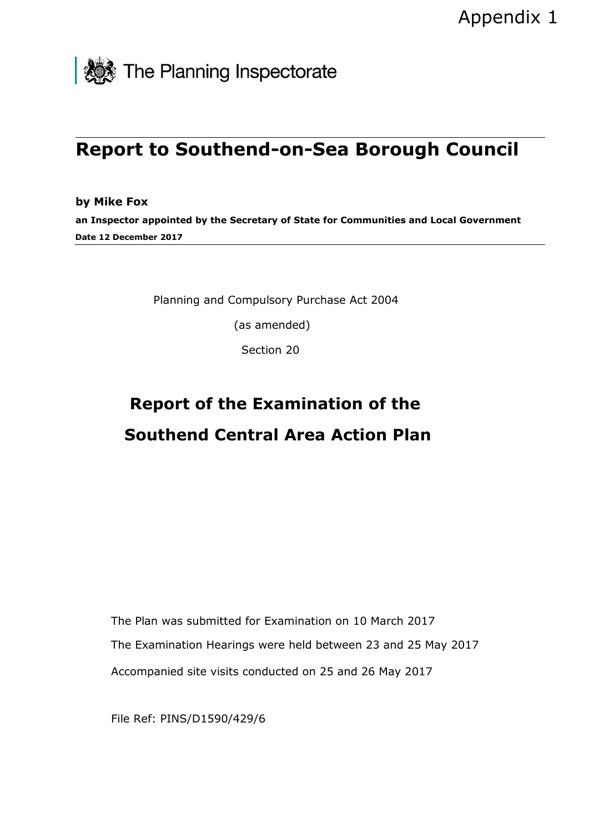

# **Report to Southend-on-Sea Borough Council**

**by Mike Fox an Inspector appointed by the Secretary of State for Communities and Local Government Date 12 December 2017**

Planning and Compulsory Purchase Act 2004

(as amended)

Section 20

# **Report of the Examination of the Southend Central Area Action Plan**

The Plan was submitted for Examination on 10 March 2017 The Examination Hearings were held between 23 and 25 May 2017 Accompanied site visits conducted on 25 and 26 May 2017

File Ref: PINS/D1590/429/6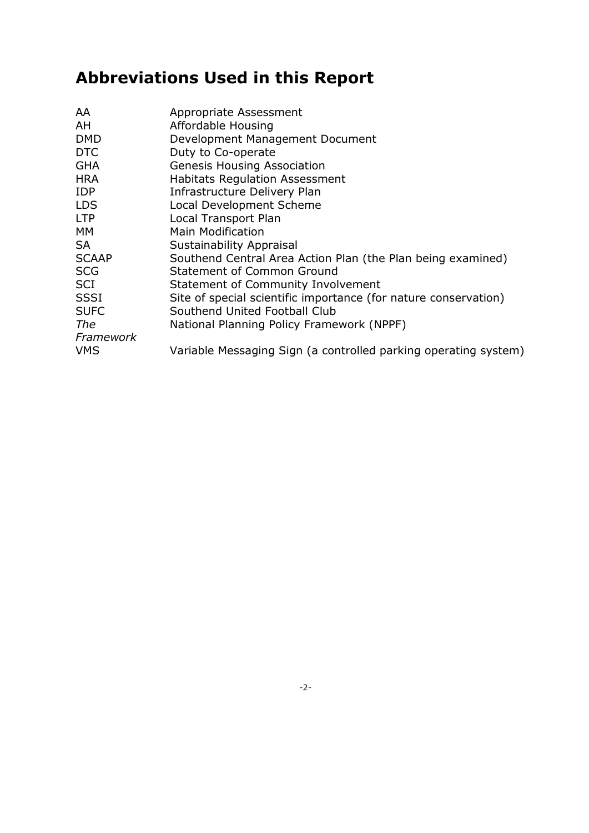# **Abbreviations Used in this Report**

| AA           | Appropriate Assessment                                          |
|--------------|-----------------------------------------------------------------|
| AH           | Affordable Housing                                              |
| <b>DMD</b>   | Development Management Document                                 |
| <b>DTC</b>   | Duty to Co-operate                                              |
| <b>GHA</b>   | <b>Genesis Housing Association</b>                              |
| <b>HRA</b>   | <b>Habitats Regulation Assessment</b>                           |
| <b>IDP</b>   | Infrastructure Delivery Plan                                    |
| <b>LDS</b>   | Local Development Scheme                                        |
| <b>LTP</b>   | Local Transport Plan                                            |
| MM           | <b>Main Modification</b>                                        |
| <b>SA</b>    | Sustainability Appraisal                                        |
| <b>SCAAP</b> | Southend Central Area Action Plan (the Plan being examined)     |
| <b>SCG</b>   | <b>Statement of Common Ground</b>                               |
| <b>SCI</b>   | Statement of Community Involvement                              |
| <b>SSSI</b>  | Site of special scientific importance (for nature conservation) |
| <b>SUFC</b>  | Southend United Football Club                                   |
| The          | National Planning Policy Framework (NPPF)                       |
| Framework    |                                                                 |
| <b>VMS</b>   | Variable Messaging Sign (a controlled parking operating system) |
|              |                                                                 |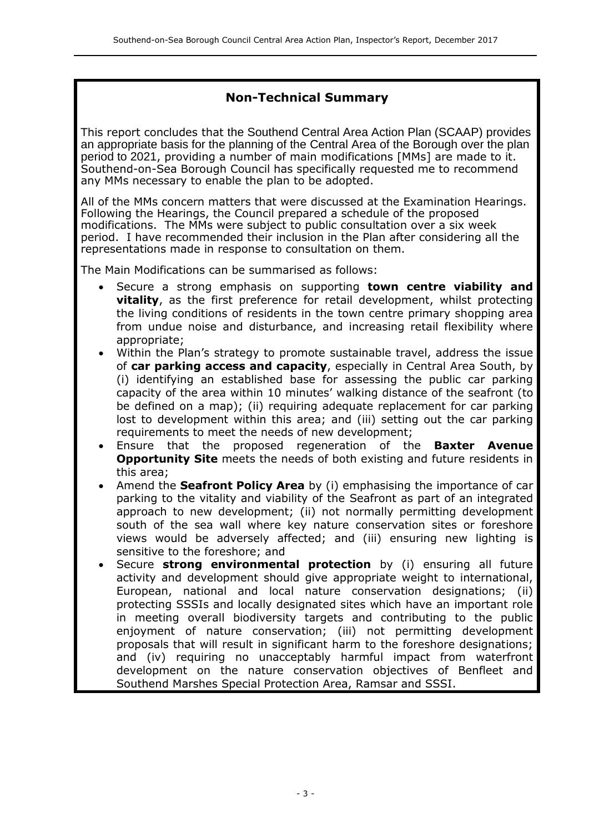# **Non-Technical Summary**

This report concludes that the Southend Central Area Action Plan (SCAAP) provides an appropriate basis for the planning of the Central Area of the Borough over the plan period to 2021, providing a number of main modifications [MMs] are made to it. Southend-on-Sea Borough Council has specifically requested me to recommend any MMs necessary to enable the plan to be adopted.

All of the MMs concern matters that were discussed at the Examination Hearings. Following the Hearings, the Council prepared a schedule of the proposed modifications. The MMs were subject to public consultation over a six week period. I have recommended their inclusion in the Plan after considering all the representations made in response to consultation on them.

The Main Modifications can be summarised as follows:

- Secure a strong emphasis on supporting **town centre viability and vitality**, as the first preference for retail development, whilst protecting the living conditions of residents in the town centre primary shopping area from undue noise and disturbance, and increasing retail flexibility where appropriate;
- Within the Plan's strategy to promote sustainable travel, address the issue of **car parking access and capacity**, especially in Central Area South, by (i) identifying an established base for assessing the public car parking capacity of the area within 10 minutes' walking distance of the seafront (to be defined on a map); (ii) requiring adequate replacement for car parking lost to development within this area; and (iii) setting out the car parking requirements to meet the needs of new development;
- Ensure that the proposed regeneration of the **Baxter Avenue Opportunity Site** meets the needs of both existing and future residents in this area;
- Amend the **Seafront Policy Area** by (i) emphasising the importance of car parking to the vitality and viability of the Seafront as part of an integrated approach to new development; (ii) not normally permitting development south of the sea wall where key nature conservation sites or foreshore views would be adversely affected; and (iii) ensuring new lighting is sensitive to the foreshore; and
- Secure **strong environmental protection** by (i) ensuring all future activity and development should give appropriate weight to international, European, national and local nature conservation designations; (ii) protecting SSSIs and locally designated sites which have an important role in meeting overall biodiversity targets and contributing to the public enjoyment of nature conservation; (iii) not permitting development proposals that will result in significant harm to the foreshore designations; and (iv) requiring no unacceptably harmful impact from waterfront development on the nature conservation objectives of Benfleet and Southend Marshes Special Protection Area, Ramsar and SSSI.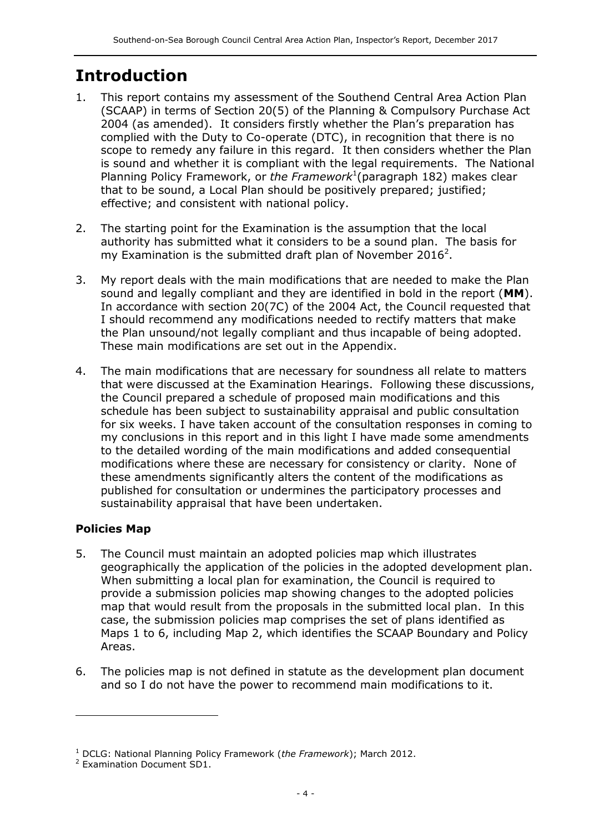# **Introduction**

- 1. This report contains my assessment of the Southend Central Area Action Plan (SCAAP) in terms of Section 20(5) of the Planning & Compulsory Purchase Act 2004 (as amended). It considers firstly whether the Plan's preparation has complied with the Duty to Co-operate (DTC), in recognition that there is no scope to remedy any failure in this regard. It then considers whether the Plan is sound and whether it is compliant with the legal requirements. The National Planning Policy Framework, or the Framework<sup>1</sup> (paragraph 182) makes clear that to be sound, a Local Plan should be positively prepared; justified; effective; and consistent with national policy.
- 2. The starting point for the Examination is the assumption that the local authority has submitted what it considers to be a sound plan. The basis for my Examination is the submitted draft plan of November 2016<sup>2</sup>.
- 3. My report deals with the main modifications that are needed to make the Plan sound and legally compliant and they are identified in bold in the report (**MM**). In accordance with section 20(7C) of the 2004 Act, the Council requested that I should recommend any modifications needed to rectify matters that make the Plan unsound/not legally compliant and thus incapable of being adopted. These main modifications are set out in the Appendix.
- 4. The main modifications that are necessary for soundness all relate to matters that were discussed at the Examination Hearings. Following these discussions, the Council prepared a schedule of proposed main modifications and this schedule has been subject to sustainability appraisal and public consultation for six weeks. I have taken account of the consultation responses in coming to my conclusions in this report and in this light I have made some amendments to the detailed wording of the main modifications and added consequential modifications where these are necessary for consistency or clarity. None of these amendments significantly alters the content of the modifications as published for consultation or undermines the participatory processes and sustainability appraisal that have been undertaken.

# **Policies Map**

- 5. The Council must maintain an adopted policies map which illustrates geographically the application of the policies in the adopted development plan. When submitting a local plan for examination, the Council is required to provide a submission policies map showing changes to the adopted policies map that would result from the proposals in the submitted local plan. In this case, the submission policies map comprises the set of plans identified as Maps 1 to 6, including Map 2, which identifies the SCAAP Boundary and Policy Areas.
- 6. The policies map is not defined in statute as the development plan document and so I do not have the power to recommend main modifications to it.

<sup>1</sup> DCLG: National Planning Policy Framework (*the Framework*); March 2012.

<sup>2</sup> Examination Document SD1.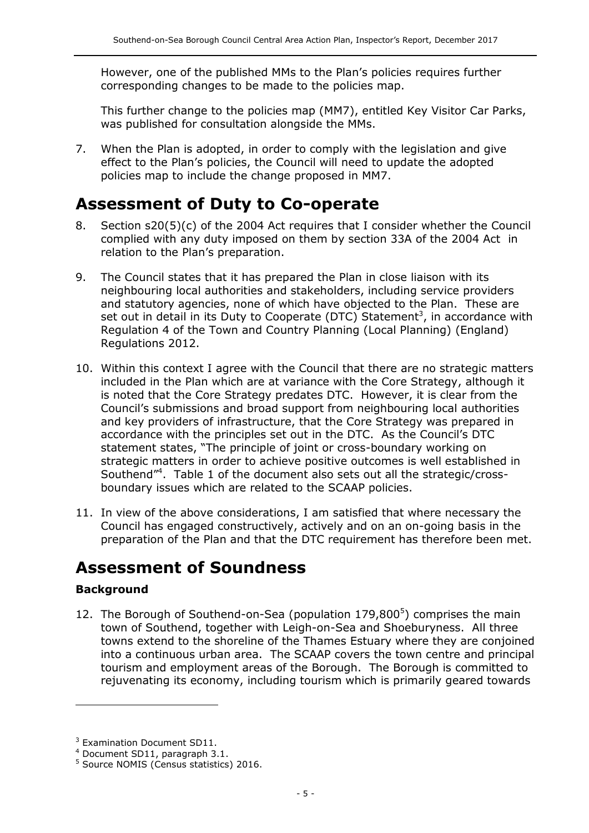However, one of the published MMs to the Plan's policies requires further corresponding changes to be made to the policies map.

This further change to the policies map (MM7), entitled Key Visitor Car Parks, was published for consultation alongside the MMs.

7. When the Plan is adopted, in order to comply with the legislation and give effect to the Plan's policies, the Council will need to update the adopted policies map to include the change proposed in MM7.

# **Assessment of Duty to Co-operate**

- 8. Section s20(5)(c) of the 2004 Act requires that I consider whether the Council complied with any duty imposed on them by section 33A of the 2004 Act in relation to the Plan's preparation.
- 9. The Council states that it has prepared the Plan in close liaison with its neighbouring local authorities and stakeholders, including service providers and statutory agencies, none of which have objected to the Plan. These are set out in detail in its Duty to Cooperate (DTC) Statement<sup>3</sup>, in accordance with Regulation 4 of the Town and Country Planning (Local Planning) (England) Regulations 2012.
- 10. Within this context I agree with the Council that there are no strategic matters included in the Plan which are at variance with the Core Strategy, although it is noted that the Core Strategy predates DTC. However, it is clear from the Council's submissions and broad support from neighbouring local authorities and key providers of infrastructure, that the Core Strategy was prepared in accordance with the principles set out in the DTC. As the Council's DTC statement states, "The principle of joint or cross-boundary working on strategic matters in order to achieve positive outcomes is well established in Southend"<sup>4</sup> . Table 1 of the document also sets out all the strategic/crossboundary issues which are related to the SCAAP policies.
- 11. In view of the above considerations, I am satisfied that where necessary the Council has engaged constructively, actively and on an on-going basis in the preparation of the Plan and that the DTC requirement has therefore been met.

# **Assessment of Soundness**

# **Background**

j

12. The Borough of Southend-on-Sea (population  $179,800^5$ ) comprises the main town of Southend, together with Leigh-on-Sea and Shoeburyness. All three towns extend to the shoreline of the Thames Estuary where they are conjoined into a continuous urban area. The SCAAP covers the town centre and principal tourism and employment areas of the Borough. The Borough is committed to rejuvenating its economy, including tourism which is primarily geared towards

<sup>&</sup>lt;sup>3</sup> Examination Document SD11.

<sup>4</sup> Document SD11, paragraph 3.1.

<sup>5</sup> Source NOMIS (Census statistics) 2016.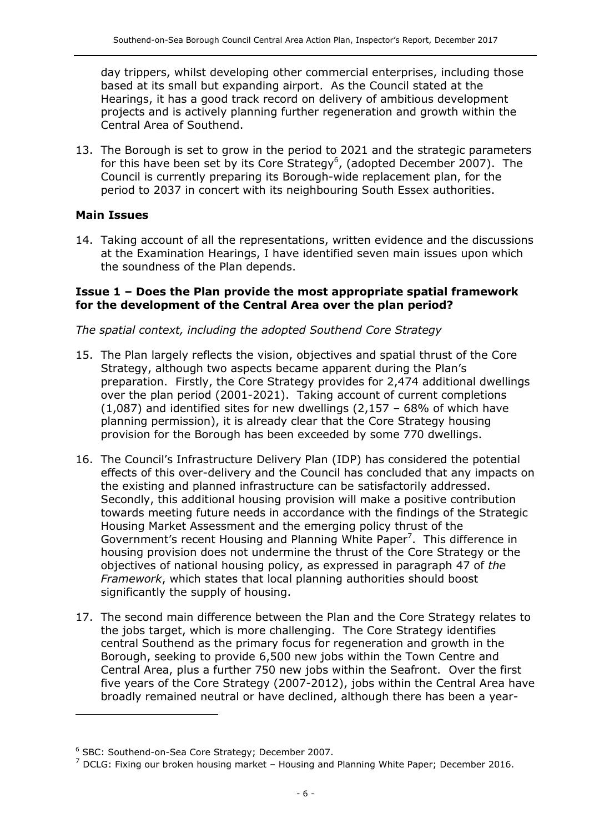day trippers, whilst developing other commercial enterprises, including those based at its small but expanding airport. As the Council stated at the Hearings, it has a good track record on delivery of ambitious development projects and is actively planning further regeneration and growth within the Central Area of Southend.

13. The Borough is set to grow in the period to 2021 and the strategic parameters for this have been set by its Core Strategy<sup>6</sup>, (adopted December 2007). The Council is currently preparing its Borough-wide replacement plan, for the period to 2037 in concert with its neighbouring South Essex authorities.

# **Main Issues**

j

14. Taking account of all the representations, written evidence and the discussions at the Examination Hearings, I have identified seven main issues upon which the soundness of the Plan depends.

### **Issue 1 – Does the Plan provide the most appropriate spatial framework for the development of the Central Area over the plan period?**

# *The spatial context, including the adopted Southend Core Strategy*

- 15. The Plan largely reflects the vision, objectives and spatial thrust of the Core Strategy, although two aspects became apparent during the Plan's preparation. Firstly, the Core Strategy provides for 2,474 additional dwellings over the plan period (2001-2021). Taking account of current completions  $(1,087)$  and identified sites for new dwellings  $(2,157 - 68\%$  of which have planning permission), it is already clear that the Core Strategy housing provision for the Borough has been exceeded by some 770 dwellings.
- 16. The Council's Infrastructure Delivery Plan (IDP) has considered the potential effects of this over-delivery and the Council has concluded that any impacts on the existing and planned infrastructure can be satisfactorily addressed. Secondly, this additional housing provision will make a positive contribution towards meeting future needs in accordance with the findings of the Strategic Housing Market Assessment and the emerging policy thrust of the Government's recent Housing and Planning White Paper<sup>7</sup>. This difference in housing provision does not undermine the thrust of the Core Strategy or the objectives of national housing policy, as expressed in paragraph 47 of *the Framework*, which states that local planning authorities should boost significantly the supply of housing.
- 17. The second main difference between the Plan and the Core Strategy relates to the jobs target, which is more challenging. The Core Strategy identifies central Southend as the primary focus for regeneration and growth in the Borough, seeking to provide 6,500 new jobs within the Town Centre and Central Area, plus a further 750 new jobs within the Seafront. Over the first five years of the Core Strategy (2007-2012), jobs within the Central Area have broadly remained neutral or have declined, although there has been a year-

<sup>6</sup> SBC: Southend-on-Sea Core Strategy; December 2007.

 $<sup>7</sup>$  DCLG: Fixing our broken housing market – Housing and Planning White Paper; December 2016.</sup>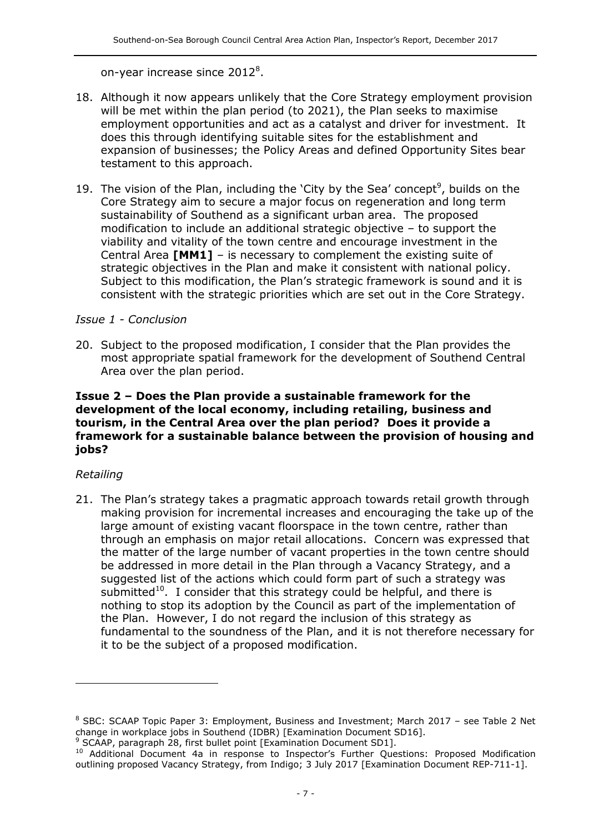#### on-year increase since  $2012^8$ .

- 18. Although it now appears unlikely that the Core Strategy employment provision will be met within the plan period (to 2021), the Plan seeks to maximise employment opportunities and act as a catalyst and driver for investment. It does this through identifying suitable sites for the establishment and expansion of businesses; the Policy Areas and defined Opportunity Sites bear testament to this approach.
- 19. The vision of the Plan, including the 'City by the Sea' concept<sup>9</sup>, builds on the Core Strategy aim to secure a major focus on regeneration and long term sustainability of Southend as a significant urban area. The proposed modification to include an additional strategic objective – to support the viability and vitality of the town centre and encourage investment in the Central Area **[MM1]** – is necessary to complement the existing suite of strategic objectives in the Plan and make it consistent with national policy. Subject to this modification, the Plan's strategic framework is sound and it is consistent with the strategic priorities which are set out in the Core Strategy.

#### *Issue 1 - Conclusion*

20. Subject to the proposed modification, I consider that the Plan provides the most appropriate spatial framework for the development of Southend Central Area over the plan period.

#### **Issue 2 – Does the Plan provide a sustainable framework for the development of the local economy, including retailing, business and tourism, in the Central Area over the plan period? Does it provide a framework for a sustainable balance between the provision of housing and jobs?**

#### *Retailing*

-

21. The Plan's strategy takes a pragmatic approach towards retail growth through making provision for incremental increases and encouraging the take up of the large amount of existing vacant floorspace in the town centre, rather than through an emphasis on major retail allocations. Concern was expressed that the matter of the large number of vacant properties in the town centre should be addressed in more detail in the Plan through a Vacancy Strategy, and a suggested list of the actions which could form part of such a strategy was submitted $10$ . I consider that this strategy could be helpful, and there is nothing to stop its adoption by the Council as part of the implementation of the Plan. However, I do not regard the inclusion of this strategy as fundamental to the soundness of the Plan, and it is not therefore necessary for it to be the subject of a proposed modification.

<sup>8</sup> SBC: SCAAP Topic Paper 3: Employment, Business and Investment; March 2017 – see Table 2 Net change in workplace jobs in Southend (IDBR) [Examination Document SD16].

<sup>&</sup>lt;sup>9</sup> SCAAP, paragraph 28, first bullet point [Examination Document SD1].

<sup>&</sup>lt;sup>10</sup> Additional Document 4a in response to Inspector's Further Questions: Proposed Modification outlining proposed Vacancy Strategy, from Indigo; 3 July 2017 [Examination Document REP-711-1].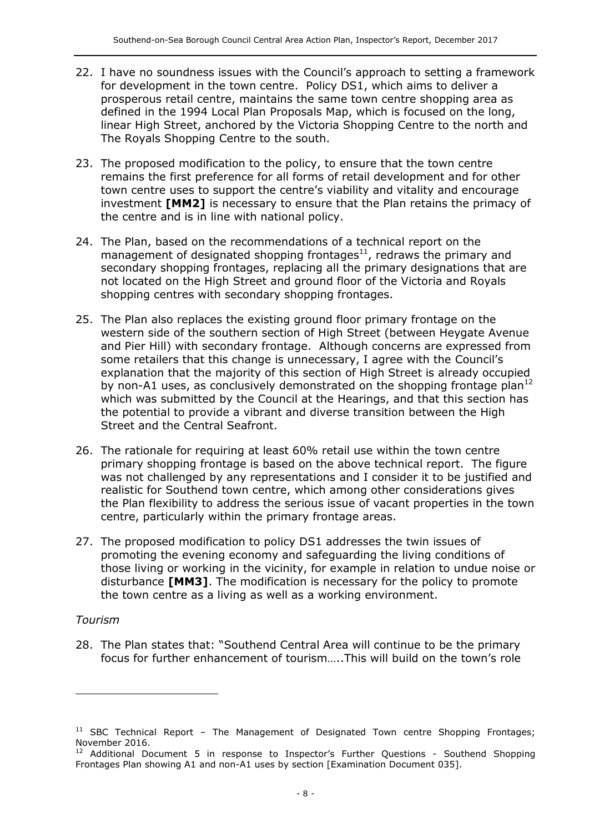- 22. I have no soundness issues with the Council's approach to setting a framework for development in the town centre. Policy DS1, which aims to deliver a prosperous retail centre, maintains the same town centre shopping area as defined in the 1994 Local Plan Proposals Map, which is focused on the long, linear High Street, anchored by the Victoria Shopping Centre to the north and The Royals Shopping Centre to the south.
- 23. The proposed modification to the policy, to ensure that the town centre remains the first preference for all forms of retail development and for other town centre uses to support the centre's viability and vitality and encourage investment **[MM2]** is necessary to ensure that the Plan retains the primacy of the centre and is in line with national policy.
- 24. The Plan, based on the recommendations of a technical report on the management of designated shopping frontages $^{11}$ , redraws the primary and secondary shopping frontages, replacing all the primary designations that are not located on the High Street and ground floor of the Victoria and Royals shopping centres with secondary shopping frontages.
- 25. The Plan also replaces the existing ground floor primary frontage on the western side of the southern section of High Street (between Heygate Avenue and Pier Hill) with secondary frontage. Although concerns are expressed from some retailers that this change is unnecessary, I agree with the Council's explanation that the majority of this section of High Street is already occupied by non-A1 uses, as conclusively demonstrated on the shopping frontage plan<sup>12</sup> which was submitted by the Council at the Hearings, and that this section has the potential to provide a vibrant and diverse transition between the High Street and the Central Seafront.
- 26. The rationale for requiring at least 60% retail use within the town centre primary shopping frontage is based on the above technical report. The figure was not challenged by any representations and I consider it to be justified and realistic for Southend town centre, which among other considerations gives the Plan flexibility to address the serious issue of vacant properties in the town centre, particularly within the primary frontage areas.
- 27. The proposed modification to policy DS1 addresses the twin issues of promoting the evening economy and safeguarding the living conditions of those living or working in the vicinity, for example in relation to undue noise or disturbance **[MM3]**. The modification is necessary for the policy to promote the town centre as a living as well as a working environment.

#### *Tourism*

j

28. The Plan states that: "Southend Central Area will continue to be the primary focus for further enhancement of tourism…..This will build on the town's role

 $11$  SBC Technical Report – The Management of Designated Town centre Shopping Frontages; November 2016.

 $12$  Additional Document 5 in response to Inspector's Further Questions - Southend Shopping Frontages Plan showing A1 and non-A1 uses by section [Examination Document 035].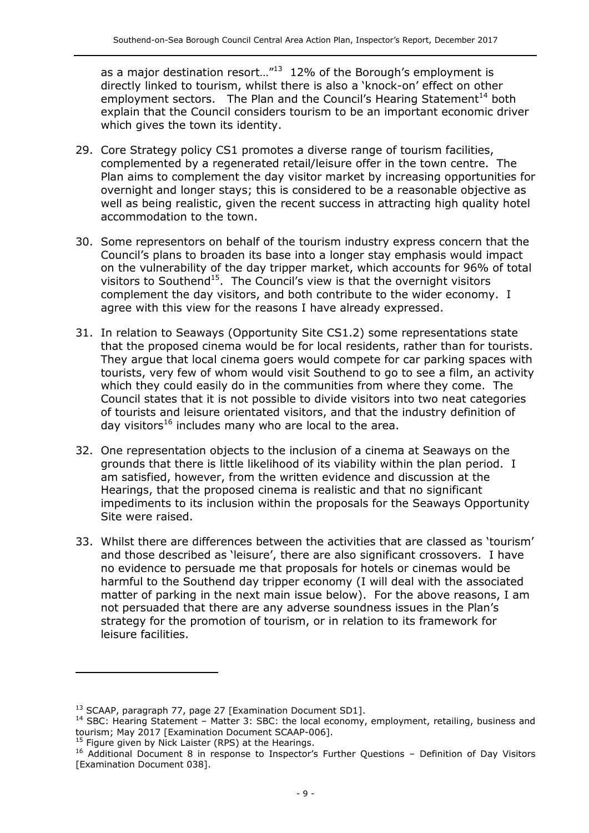as a major destination resort..." $^{13}$  12% of the Borough's employment is directly linked to tourism, whilst there is also a 'knock-on' effect on other employment sectors. The Plan and the Council's Hearing Statement<sup>14</sup> both explain that the Council considers tourism to be an important economic driver which gives the town its identity.

- 29. Core Strategy policy CS1 promotes a diverse range of tourism facilities, complemented by a regenerated retail/leisure offer in the town centre. The Plan aims to complement the day visitor market by increasing opportunities for overnight and longer stays; this is considered to be a reasonable objective as well as being realistic, given the recent success in attracting high quality hotel accommodation to the town.
- 30. Some representors on behalf of the tourism industry express concern that the Council's plans to broaden its base into a longer stay emphasis would impact on the vulnerability of the day tripper market, which accounts for 96% of total visitors to Southend<sup>15</sup>. The Council's view is that the overnight visitors complement the day visitors, and both contribute to the wider economy. I agree with this view for the reasons I have already expressed.
- 31. In relation to Seaways (Opportunity Site CS1.2) some representations state that the proposed cinema would be for local residents, rather than for tourists. They argue that local cinema goers would compete for car parking spaces with tourists, very few of whom would visit Southend to go to see a film, an activity which they could easily do in the communities from where they come. The Council states that it is not possible to divide visitors into two neat categories of tourists and leisure orientated visitors, and that the industry definition of day visitors $16$  includes many who are local to the area.
- 32. One representation objects to the inclusion of a cinema at Seaways on the grounds that there is little likelihood of its viability within the plan period. I am satisfied, however, from the written evidence and discussion at the Hearings, that the proposed cinema is realistic and that no significant impediments to its inclusion within the proposals for the Seaways Opportunity Site were raised.
- 33. Whilst there are differences between the activities that are classed as 'tourism' and those described as 'leisure', there are also significant crossovers. I have no evidence to persuade me that proposals for hotels or cinemas would be harmful to the Southend day tripper economy (I will deal with the associated matter of parking in the next main issue below). For the above reasons, I am not persuaded that there are any adverse soundness issues in the Plan's strategy for the promotion of tourism, or in relation to its framework for leisure facilities.

<sup>15</sup> Figure given by Nick Laister (RPS) at the Hearings.

-

<sup>&</sup>lt;sup>13</sup> SCAAP, paragraph 77, page 27 [Examination Document SD1].

<sup>&</sup>lt;sup>14</sup> SBC: Hearing Statement – Matter 3: SBC: the local economy, employment, retailing, business and tourism; May 2017 [Examination Document SCAAP-006].

<sup>&</sup>lt;sup>16</sup> Additional Document 8 in response to Inspector's Further Questions - Definition of Day Visitors [Examination Document 038].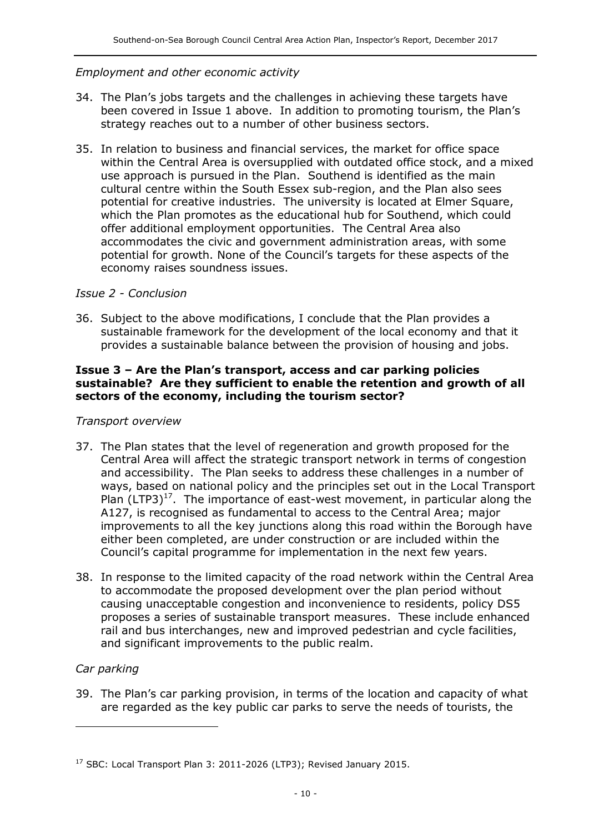### *Employment and other economic activity*

- 34. The Plan's jobs targets and the challenges in achieving these targets have been covered in Issue 1 above. In addition to promoting tourism, the Plan's strategy reaches out to a number of other business sectors.
- 35. In relation to business and financial services, the market for office space within the Central Area is oversupplied with outdated office stock, and a mixed use approach is pursued in the Plan. Southend is identified as the main cultural centre within the South Essex sub-region, and the Plan also sees potential for creative industries. The university is located at Elmer Square, which the Plan promotes as the educational hub for Southend, which could offer additional employment opportunities. The Central Area also accommodates the civic and government administration areas, with some potential for growth. None of the Council's targets for these aspects of the economy raises soundness issues.

#### *Issue 2 - Conclusion*

36. Subject to the above modifications, I conclude that the Plan provides a sustainable framework for the development of the local economy and that it provides a sustainable balance between the provision of housing and jobs.

#### **Issue 3 – Are the Plan's transport, access and car parking policies sustainable? Are they sufficient to enable the retention and growth of all sectors of the economy, including the tourism sector?**

#### *Transport overview*

- 37. The Plan states that the level of regeneration and growth proposed for the Central Area will affect the strategic transport network in terms of congestion and accessibility. The Plan seeks to address these challenges in a number of ways, based on national policy and the principles set out in the Local Transport Plan (LTP3) $<sup>17</sup>$ . The importance of east-west movement, in particular along the</sup> A127, is recognised as fundamental to access to the Central Area; major improvements to all the key junctions along this road within the Borough have either been completed, are under construction or are included within the Council's capital programme for implementation in the next few years.
- 38. In response to the limited capacity of the road network within the Central Area to accommodate the proposed development over the plan period without causing unacceptable congestion and inconvenience to residents, policy DS5 proposes a series of sustainable transport measures. These include enhanced rail and bus interchanges, new and improved pedestrian and cycle facilities, and significant improvements to the public realm.

# *Car parking*

 $\overline{a}$ 

39. The Plan's car parking provision, in terms of the location and capacity of what are regarded as the key public car parks to serve the needs of tourists, the

<sup>&</sup>lt;sup>17</sup> SBC: Local Transport Plan 3: 2011-2026 (LTP3); Revised January 2015.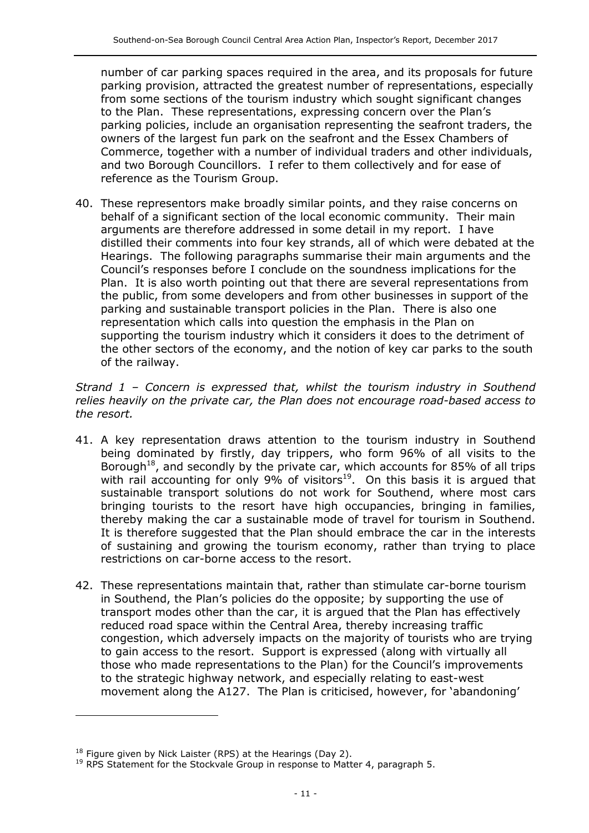number of car parking spaces required in the area, and its proposals for future parking provision, attracted the greatest number of representations, especially from some sections of the tourism industry which sought significant changes to the Plan. These representations, expressing concern over the Plan's parking policies, include an organisation representing the seafront traders, the owners of the largest fun park on the seafront and the Essex Chambers of Commerce, together with a number of individual traders and other individuals, and two Borough Councillors. I refer to them collectively and for ease of reference as the Tourism Group.

40. These representors make broadly similar points, and they raise concerns on behalf of a significant section of the local economic community. Their main arguments are therefore addressed in some detail in my report. I have distilled their comments into four key strands, all of which were debated at the Hearings. The following paragraphs summarise their main arguments and the Council's responses before I conclude on the soundness implications for the Plan. It is also worth pointing out that there are several representations from the public, from some developers and from other businesses in support of the parking and sustainable transport policies in the Plan. There is also one representation which calls into question the emphasis in the Plan on supporting the tourism industry which it considers it does to the detriment of the other sectors of the economy, and the notion of key car parks to the south of the railway.

*Strand 1 – Concern is expressed that, whilst the tourism industry in Southend relies heavily on the private car, the Plan does not encourage road-based access to the resort.*

- 41. A key representation draws attention to the tourism industry in Southend being dominated by firstly, day trippers, who form 96% of all visits to the Borough<sup>18</sup>, and secondly by the private car, which accounts for 85% of all trips with rail accounting for only 9% of visitors<sup>19</sup>. On this basis it is argued that sustainable transport solutions do not work for Southend, where most cars bringing tourists to the resort have high occupancies, bringing in families, thereby making the car a sustainable mode of travel for tourism in Southend. It is therefore suggested that the Plan should embrace the car in the interests of sustaining and growing the tourism economy, rather than trying to place restrictions on car-borne access to the resort.
- 42. These representations maintain that, rather than stimulate car-borne tourism in Southend, the Plan's policies do the opposite; by supporting the use of transport modes other than the car, it is argued that the Plan has effectively reduced road space within the Central Area, thereby increasing traffic congestion, which adversely impacts on the majority of tourists who are trying to gain access to the resort. Support is expressed (along with virtually all those who made representations to the Plan) for the Council's improvements to the strategic highway network, and especially relating to east-west movement along the A127. The Plan is criticised, however, for 'abandoning'

 $18$  Figure given by Nick Laister (RPS) at the Hearings (Day 2).

 $19$  RPS Statement for the Stockvale Group in response to Matter 4, paragraph 5.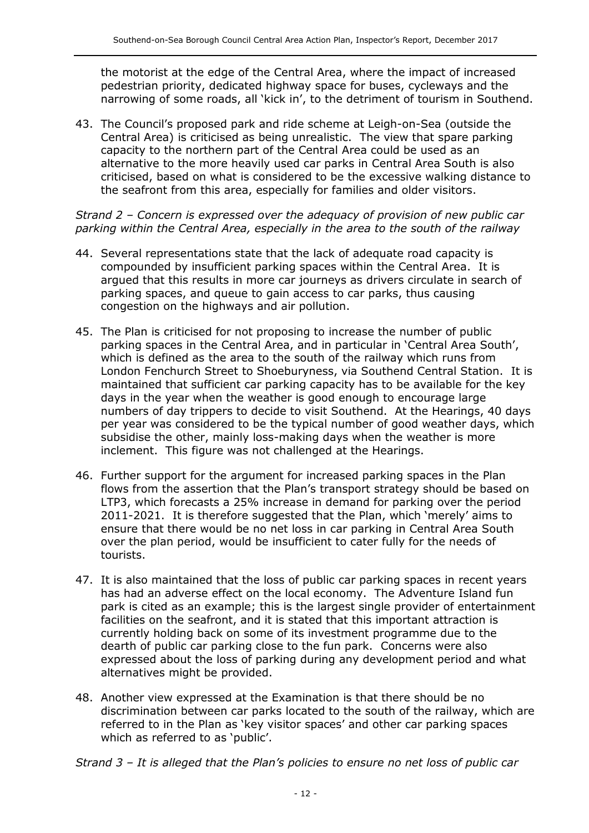the motorist at the edge of the Central Area, where the impact of increased pedestrian priority, dedicated highway space for buses, cycleways and the narrowing of some roads, all 'kick in', to the detriment of tourism in Southend.

43. The Council's proposed park and ride scheme at Leigh-on-Sea (outside the Central Area) is criticised as being unrealistic. The view that spare parking capacity to the northern part of the Central Area could be used as an alternative to the more heavily used car parks in Central Area South is also criticised, based on what is considered to be the excessive walking distance to the seafront from this area, especially for families and older visitors.

*Strand 2 – Concern is expressed over the adequacy of provision of new public car parking within the Central Area, especially in the area to the south of the railway*

- 44. Several representations state that the lack of adequate road capacity is compounded by insufficient parking spaces within the Central Area. It is argued that this results in more car journeys as drivers circulate in search of parking spaces, and queue to gain access to car parks, thus causing congestion on the highways and air pollution.
- 45. The Plan is criticised for not proposing to increase the number of public parking spaces in the Central Area, and in particular in 'Central Area South', which is defined as the area to the south of the railway which runs from London Fenchurch Street to Shoeburyness, via Southend Central Station. It is maintained that sufficient car parking capacity has to be available for the key days in the year when the weather is good enough to encourage large numbers of day trippers to decide to visit Southend. At the Hearings, 40 days per year was considered to be the typical number of good weather days, which subsidise the other, mainly loss-making days when the weather is more inclement. This figure was not challenged at the Hearings.
- 46. Further support for the argument for increased parking spaces in the Plan flows from the assertion that the Plan's transport strategy should be based on LTP3, which forecasts a 25% increase in demand for parking over the period 2011-2021. It is therefore suggested that the Plan, which 'merely' aims to ensure that there would be no net loss in car parking in Central Area South over the plan period, would be insufficient to cater fully for the needs of tourists.
- 47. It is also maintained that the loss of public car parking spaces in recent years has had an adverse effect on the local economy. The Adventure Island fun park is cited as an example; this is the largest single provider of entertainment facilities on the seafront, and it is stated that this important attraction is currently holding back on some of its investment programme due to the dearth of public car parking close to the fun park. Concerns were also expressed about the loss of parking during any development period and what alternatives might be provided.
- 48. Another view expressed at the Examination is that there should be no discrimination between car parks located to the south of the railway, which are referred to in the Plan as 'key visitor spaces' and other car parking spaces which as referred to as 'public'.

*Strand 3 – It is alleged that the Plan's policies to ensure no net loss of public car*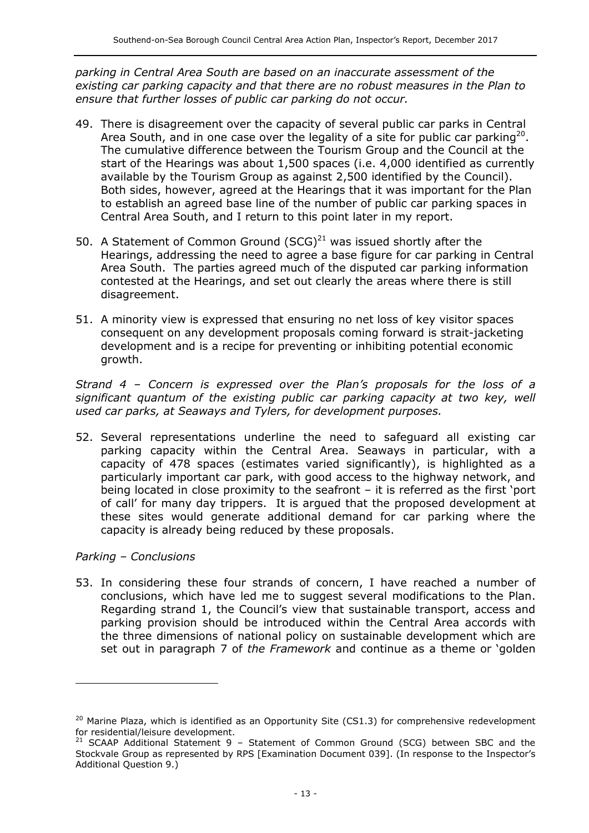*parking in Central Area South are based on an inaccurate assessment of the existing car parking capacity and that there are no robust measures in the Plan to ensure that further losses of public car parking do not occur.*

- 49. There is disagreement over the capacity of several public car parks in Central Area South, and in one case over the legality of a site for public car parking<sup>20</sup>. The cumulative difference between the Tourism Group and the Council at the start of the Hearings was about 1,500 spaces (i.e. 4,000 identified as currently available by the Tourism Group as against 2,500 identified by the Council). Both sides, however, agreed at the Hearings that it was important for the Plan to establish an agreed base line of the number of public car parking spaces in Central Area South, and I return to this point later in my report.
- 50. A Statement of Common Ground  $(SCG)^{21}$  was issued shortly after the Hearings, addressing the need to agree a base figure for car parking in Central Area South. The parties agreed much of the disputed car parking information contested at the Hearings, and set out clearly the areas where there is still disagreement.
- 51. A minority view is expressed that ensuring no net loss of key visitor spaces consequent on any development proposals coming forward is strait-jacketing development and is a recipe for preventing or inhibiting potential economic growth.

*Strand 4 – Concern is expressed over the Plan's proposals for the loss of a significant quantum of the existing public car parking capacity at two key, well used car parks, at Seaways and Tylers, for development purposes.*

52. Several representations underline the need to safeguard all existing car parking capacity within the Central Area. Seaways in particular, with a capacity of 478 spaces (estimates varied significantly), is highlighted as a particularly important car park, with good access to the highway network, and being located in close proximity to the seafront – it is referred as the first 'port of call' for many day trippers. It is argued that the proposed development at these sites would generate additional demand for car parking where the capacity is already being reduced by these proposals.

*Parking – Conclusions* 

-

53. In considering these four strands of concern, I have reached a number of conclusions, which have led me to suggest several modifications to the Plan. Regarding strand 1, the Council's view that sustainable transport, access and parking provision should be introduced within the Central Area accords with the three dimensions of national policy on sustainable development which are set out in paragraph 7 of *the Framework* and continue as a theme or 'golden

 $20$  Marine Plaza, which is identified as an Opportunity Site (CS1.3) for comprehensive redevelopment for residential/leisure development.

 $21$  SCAAP Additional Statement 9 – Statement of Common Ground (SCG) between SBC and the Stockvale Group as represented by RPS [Examination Document 039]. (In response to the Inspector's Additional Question 9.)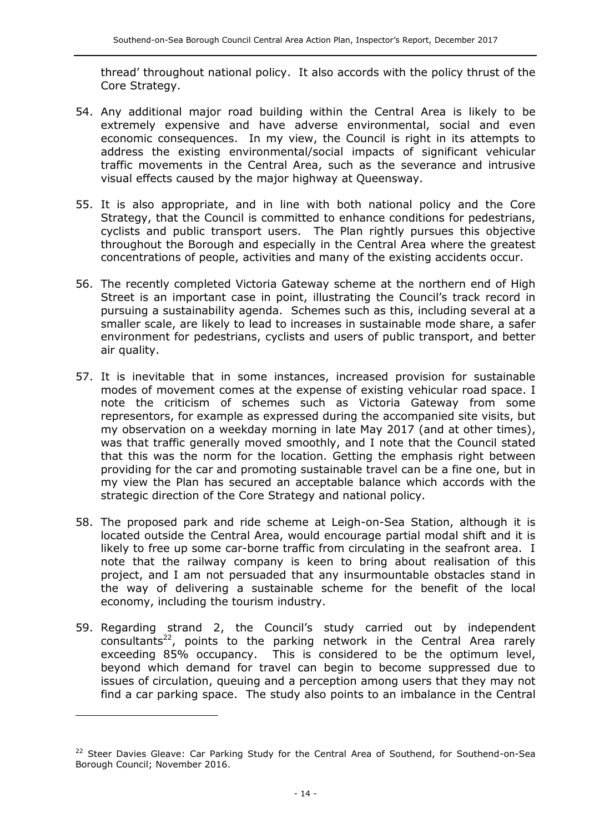thread' throughout national policy. It also accords with the policy thrust of the Core Strategy.

- 54. Any additional major road building within the Central Area is likely to be extremely expensive and have adverse environmental, social and even economic consequences. In my view, the Council is right in its attempts to address the existing environmental/social impacts of significant vehicular traffic movements in the Central Area, such as the severance and intrusive visual effects caused by the major highway at Queensway.
- 55. It is also appropriate, and in line with both national policy and the Core Strategy, that the Council is committed to enhance conditions for pedestrians, cyclists and public transport users. The Plan rightly pursues this objective throughout the Borough and especially in the Central Area where the greatest concentrations of people, activities and many of the existing accidents occur.
- 56. The recently completed Victoria Gateway scheme at the northern end of High Street is an important case in point, illustrating the Council's track record in pursuing a sustainability agenda. Schemes such as this, including several at a smaller scale, are likely to lead to increases in sustainable mode share, a safer environment for pedestrians, cyclists and users of public transport, and better air quality.
- 57. It is inevitable that in some instances, increased provision for sustainable modes of movement comes at the expense of existing vehicular road space. I note the criticism of schemes such as Victoria Gateway from some representors, for example as expressed during the accompanied site visits, but my observation on a weekday morning in late May 2017 (and at other times), was that traffic generally moved smoothly, and I note that the Council stated that this was the norm for the location. Getting the emphasis right between providing for the car and promoting sustainable travel can be a fine one, but in my view the Plan has secured an acceptable balance which accords with the strategic direction of the Core Strategy and national policy.
- 58. The proposed park and ride scheme at Leigh-on-Sea Station, although it is located outside the Central Area, would encourage partial modal shift and it is likely to free up some car-borne traffic from circulating in the seafront area. I note that the railway company is keen to bring about realisation of this project, and I am not persuaded that any insurmountable obstacles stand in the way of delivering a sustainable scheme for the benefit of the local economy, including the tourism industry.
- 59. Regarding strand 2, the Council's study carried out by independent consultants<sup>22</sup>, points to the parking network in the Central Area rarely exceeding 85% occupancy. This is considered to be the optimum level, beyond which demand for travel can begin to become suppressed due to issues of circulation, queuing and a perception among users that they may not find a car parking space. The study also points to an imbalance in the Central

<sup>&</sup>lt;sup>22</sup> Steer Davies Gleave: Car Parking Study for the Central Area of Southend, for Southend-on-Sea Borough Council; November 2016.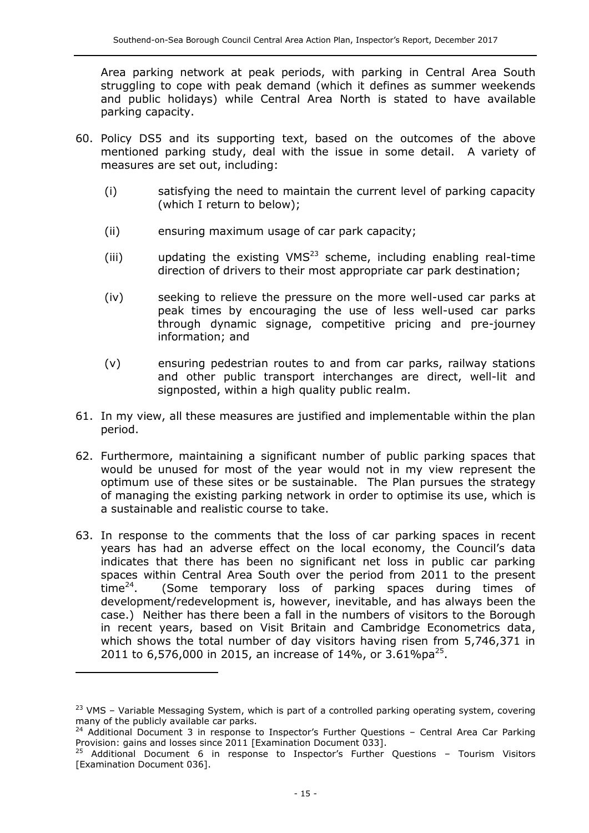Area parking network at peak periods, with parking in Central Area South struggling to cope with peak demand (which it defines as summer weekends and public holidays) while Central Area North is stated to have available parking capacity.

- 60. Policy DS5 and its supporting text, based on the outcomes of the above mentioned parking study, deal with the issue in some detail. A variety of measures are set out, including:
	- (i) satisfying the need to maintain the current level of parking capacity (which I return to below);
	- (ii) ensuring maximum usage of car park capacity;
	- (iii) updating the existing VMS $^{23}$  scheme, including enabling real-time direction of drivers to their most appropriate car park destination;
	- (iv) seeking to relieve the pressure on the more well-used car parks at peak times by encouraging the use of less well-used car parks through dynamic signage, competitive pricing and pre-journey information; and
	- (v) ensuring pedestrian routes to and from car parks, railway stations and other public transport interchanges are direct, well-lit and signposted, within a high quality public realm.
- 61. In my view, all these measures are justified and implementable within the plan period.
- 62. Furthermore, maintaining a significant number of public parking spaces that would be unused for most of the year would not in my view represent the optimum use of these sites or be sustainable. The Plan pursues the strategy of managing the existing parking network in order to optimise its use, which is a sustainable and realistic course to take.
- 63. In response to the comments that the loss of car parking spaces in recent years has had an adverse effect on the local economy, the Council's data indicates that there has been no significant net loss in public car parking spaces within Central Area South over the period from 2011 to the present time $^{24}$ . . (Some temporary loss of parking spaces during times of development/redevelopment is, however, inevitable, and has always been the case.) Neither has there been a fall in the numbers of visitors to the Borough in recent years, based on Visit Britain and Cambridge Econometrics data, which shows the total number of day visitors having risen from 5,746,371 in 2011 to 6,576,000 in 2015, an increase of 14%, or 3.61%pa<sup>25</sup>.

-

<sup>&</sup>lt;sup>23</sup> VMS - Variable Messaging System, which is part of a controlled parking operating system, covering many of the publicly available car parks.

 $24$  Additional Document 3 in response to Inspector's Further Questions – Central Area Car Parking Provision: gains and losses since 2011 [Examination Document 033].

 $25$  Additional Document 6 in response to Inspector's Further Questions - Tourism Visitors [Examination Document 036].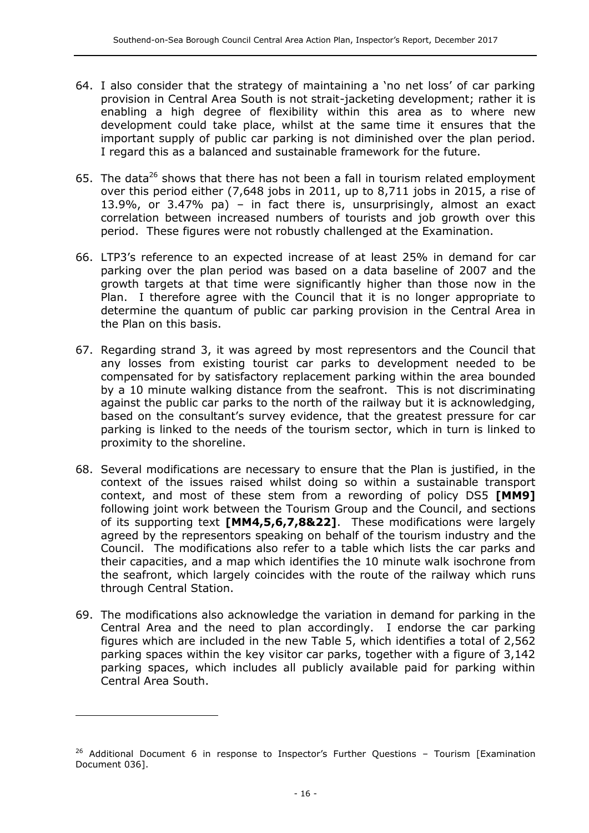- 64. I also consider that the strategy of maintaining a 'no net loss' of car parking provision in Central Area South is not strait-jacketing development; rather it is enabling a high degree of flexibility within this area as to where new development could take place, whilst at the same time it ensures that the important supply of public car parking is not diminished over the plan period. I regard this as a balanced and sustainable framework for the future.
- 65. The data<sup>26</sup> shows that there has not been a fall in tourism related employment over this period either (7,648 jobs in 2011, up to 8,711 jobs in 2015, a rise of 13.9%, or 3.47% pa) – in fact there is, unsurprisingly, almost an exact correlation between increased numbers of tourists and job growth over this period. These figures were not robustly challenged at the Examination.
- 66. LTP3's reference to an expected increase of at least 25% in demand for car parking over the plan period was based on a data baseline of 2007 and the growth targets at that time were significantly higher than those now in the Plan. I therefore agree with the Council that it is no longer appropriate to determine the quantum of public car parking provision in the Central Area in the Plan on this basis.
- 67. Regarding strand 3, it was agreed by most representors and the Council that any losses from existing tourist car parks to development needed to be compensated for by satisfactory replacement parking within the area bounded by a 10 minute walking distance from the seafront. This is not discriminating against the public car parks to the north of the railway but it is acknowledging, based on the consultant's survey evidence, that the greatest pressure for car parking is linked to the needs of the tourism sector, which in turn is linked to proximity to the shoreline.
- 68. Several modifications are necessary to ensure that the Plan is justified, in the context of the issues raised whilst doing so within a sustainable transport context, and most of these stem from a rewording of policy DS5 **[MM9]** following joint work between the Tourism Group and the Council, and sections of its supporting text **[MM4,5,6,7,8&22]**. These modifications were largely agreed by the representors speaking on behalf of the tourism industry and the Council. The modifications also refer to a table which lists the car parks and their capacities, and a map which identifies the 10 minute walk isochrone from the seafront, which largely coincides with the route of the railway which runs through Central Station.
- 69. The modifications also acknowledge the variation in demand for parking in the Central Area and the need to plan accordingly. I endorse the car parking figures which are included in the new Table 5, which identifies a total of 2,562 parking spaces within the key visitor car parks, together with a figure of 3,142 parking spaces, which includes all publicly available paid for parking within Central Area South.

<sup>&</sup>lt;sup>26</sup> Additional Document 6 in response to Inspector's Further Questions - Tourism [Examination Document 036].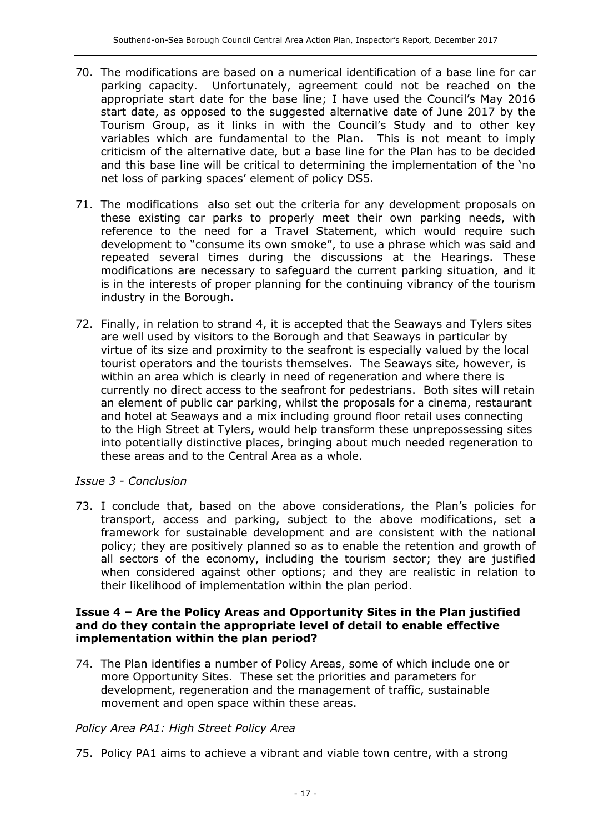- 70. The modifications are based on a numerical identification of a base line for car parking capacity. Unfortunately, agreement could not be reached on the appropriate start date for the base line; I have used the Council's May 2016 start date, as opposed to the suggested alternative date of June 2017 by the Tourism Group, as it links in with the Council's Study and to other key variables which are fundamental to the Plan. This is not meant to imply criticism of the alternative date, but a base line for the Plan has to be decided and this base line will be critical to determining the implementation of the 'no net loss of parking spaces' element of policy DS5.
- 71. The modifications also set out the criteria for any development proposals on these existing car parks to properly meet their own parking needs, with reference to the need for a Travel Statement, which would require such development to "consume its own smoke", to use a phrase which was said and repeated several times during the discussions at the Hearings. These modifications are necessary to safeguard the current parking situation, and it is in the interests of proper planning for the continuing vibrancy of the tourism industry in the Borough.
- 72. Finally, in relation to strand 4, it is accepted that the Seaways and Tylers sites are well used by visitors to the Borough and that Seaways in particular by virtue of its size and proximity to the seafront is especially valued by the local tourist operators and the tourists themselves. The Seaways site, however, is within an area which is clearly in need of regeneration and where there is currently no direct access to the seafront for pedestrians. Both sites will retain an element of public car parking, whilst the proposals for a cinema, restaurant and hotel at Seaways and a mix including ground floor retail uses connecting to the High Street at Tylers, would help transform these unprepossessing sites into potentially distinctive places, bringing about much needed regeneration to these areas and to the Central Area as a whole.

#### *Issue 3 - Conclusion*

73. I conclude that, based on the above considerations, the Plan's policies for transport, access and parking, subject to the above modifications, set a framework for sustainable development and are consistent with the national policy; they are positively planned so as to enable the retention and growth of all sectors of the economy, including the tourism sector; they are justified when considered against other options; and they are realistic in relation to their likelihood of implementation within the plan period.

#### **Issue 4 – Are the Policy Areas and Opportunity Sites in the Plan justified and do they contain the appropriate level of detail to enable effective implementation within the plan period?**

74. The Plan identifies a number of Policy Areas, some of which include one or more Opportunity Sites. These set the priorities and parameters for development, regeneration and the management of traffic, sustainable movement and open space within these areas.

#### *Policy Area PA1: High Street Policy Area*

75. Policy PA1 aims to achieve a vibrant and viable town centre, with a strong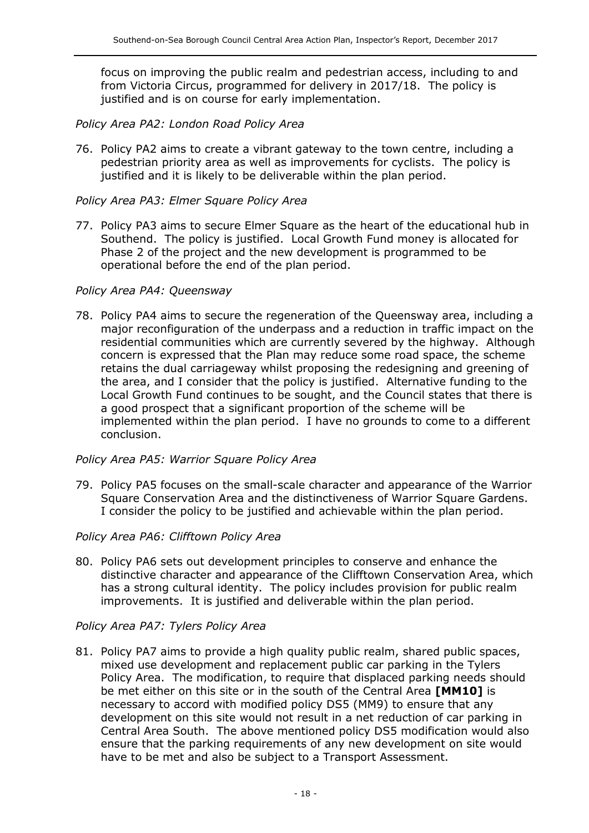focus on improving the public realm and pedestrian access, including to and from Victoria Circus, programmed for delivery in 2017/18. The policy is justified and is on course for early implementation.

### *Policy Area PA2: London Road Policy Area*

76. Policy PA2 aims to create a vibrant gateway to the town centre, including a pedestrian priority area as well as improvements for cyclists. The policy is justified and it is likely to be deliverable within the plan period.

#### *Policy Area PA3: Elmer Square Policy Area*

77. Policy PA3 aims to secure Elmer Square as the heart of the educational hub in Southend. The policy is justified. Local Growth Fund money is allocated for Phase 2 of the project and the new development is programmed to be operational before the end of the plan period.

#### *Policy Area PA4: Queensway*

78. Policy PA4 aims to secure the regeneration of the Queensway area, including a major reconfiguration of the underpass and a reduction in traffic impact on the residential communities which are currently severed by the highway. Although concern is expressed that the Plan may reduce some road space, the scheme retains the dual carriageway whilst proposing the redesigning and greening of the area, and I consider that the policy is justified. Alternative funding to the Local Growth Fund continues to be sought, and the Council states that there is a good prospect that a significant proportion of the scheme will be implemented within the plan period. I have no grounds to come to a different conclusion.

#### *Policy Area PA5: Warrior Square Policy Area*

79. Policy PA5 focuses on the small-scale character and appearance of the Warrior Square Conservation Area and the distinctiveness of Warrior Square Gardens. I consider the policy to be justified and achievable within the plan period.

#### *Policy Area PA6: Clifftown Policy Area*

80. Policy PA6 sets out development principles to conserve and enhance the distinctive character and appearance of the Clifftown Conservation Area, which has a strong cultural identity. The policy includes provision for public realm improvements. It is justified and deliverable within the plan period.

#### *Policy Area PA7: Tylers Policy Area*

81. Policy PA7 aims to provide a high quality public realm, shared public spaces, mixed use development and replacement public car parking in the Tylers Policy Area. The modification, to require that displaced parking needs should be met either on this site or in the south of the Central Area **[MM10]** is necessary to accord with modified policy DS5 (MM9) to ensure that any development on this site would not result in a net reduction of car parking in Central Area South. The above mentioned policy DS5 modification would also ensure that the parking requirements of any new development on site would have to be met and also be subject to a Transport Assessment.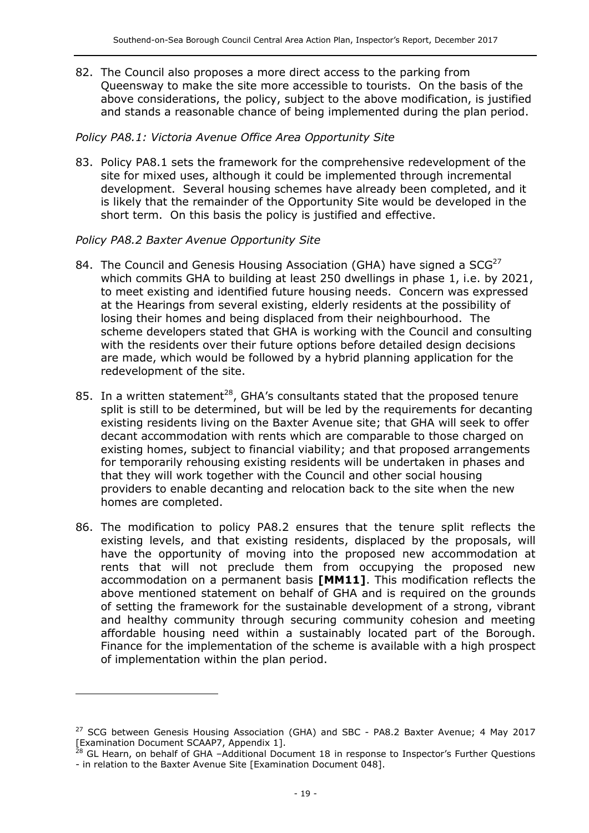82. The Council also proposes a more direct access to the parking from Queensway to make the site more accessible to tourists. On the basis of the above considerations, the policy, subject to the above modification, is justified and stands a reasonable chance of being implemented during the plan period.

### *Policy PA8.1: Victoria Avenue Office Area Opportunity Site*

83. Policy PA8.1 sets the framework for the comprehensive redevelopment of the site for mixed uses, although it could be implemented through incremental development. Several housing schemes have already been completed, and it is likely that the remainder of the Opportunity Site would be developed in the short term. On this basis the policy is justified and effective.

#### *Policy PA8.2 Baxter Avenue Opportunity Site*

j

- 84. The Council and Genesis Housing Association (GHA) have signed a  $SCG<sup>27</sup>$ which commits GHA to building at least 250 dwellings in phase 1, i.e. by 2021, to meet existing and identified future housing needs. Concern was expressed at the Hearings from several existing, elderly residents at the possibility of losing their homes and being displaced from their neighbourhood. The scheme developers stated that GHA is working with the Council and consulting with the residents over their future options before detailed design decisions are made, which would be followed by a hybrid planning application for the redevelopment of the site.
- 85. In a written statement<sup>28</sup>, GHA's consultants stated that the proposed tenure split is still to be determined, but will be led by the requirements for decanting existing residents living on the Baxter Avenue site; that GHA will seek to offer decant accommodation with rents which are comparable to those charged on existing homes, subject to financial viability; and that proposed arrangements for temporarily rehousing existing residents will be undertaken in phases and that they will work together with the Council and other social housing providers to enable decanting and relocation back to the site when the new homes are completed.
- 86. The modification to policy PA8.2 ensures that the tenure split reflects the existing levels, and that existing residents, displaced by the proposals, will have the opportunity of moving into the proposed new accommodation at rents that will not preclude them from occupying the proposed new accommodation on a permanent basis **[MM11]**. This modification reflects the above mentioned statement on behalf of GHA and is required on the grounds of setting the framework for the sustainable development of a strong, vibrant and healthy community through securing community cohesion and meeting affordable housing need within a sustainably located part of the Borough. Finance for the implementation of the scheme is available with a high prospect of implementation within the plan period.

 $27$  SCG between Genesis Housing Association (GHA) and SBC - PA8.2 Baxter Avenue; 4 May 2017 [Examination Document SCAAP7, Appendix 1].

<sup>&</sup>lt;sup>28</sup> GL Hearn, on behalf of GHA -Additional Document 18 in response to Inspector's Further Questions - in relation to the Baxter Avenue Site [Examination Document 048].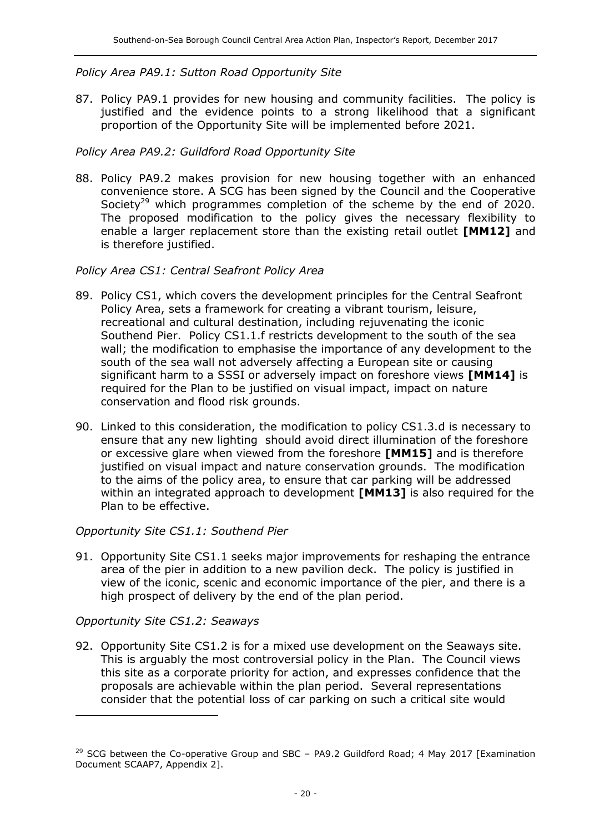### *Policy Area PA9.1: Sutton Road Opportunity Site*

87. Policy PA9.1 provides for new housing and community facilities. The policy is justified and the evidence points to a strong likelihood that a significant proportion of the Opportunity Site will be implemented before 2021.

# *Policy Area PA9.2: Guildford Road Opportunity Site*

88. Policy PA9.2 makes provision for new housing together with an enhanced convenience store. A SCG has been signed by the Council and the Cooperative Society<sup>29</sup> which programmes completion of the scheme by the end of 2020. The proposed modification to the policy gives the necessary flexibility to enable a larger replacement store than the existing retail outlet **[MM12]** and is therefore justified.

#### *Policy Area CS1: Central Seafront Policy Area*

- 89. Policy CS1, which covers the development principles for the Central Seafront Policy Area, sets a framework for creating a vibrant tourism, leisure, recreational and cultural destination, including rejuvenating the iconic Southend Pier. Policy CS1.1.f restricts development to the south of the sea wall; the modification to emphasise the importance of any development to the south of the sea wall not adversely affecting a European site or causing significant harm to a SSSI or adversely impact on foreshore views **[MM14]** is required for the Plan to be justified on visual impact, impact on nature conservation and flood risk grounds.
- 90. Linked to this consideration, the modification to policy CS1.3.d is necessary to ensure that any new lighting should avoid direct illumination of the foreshore or excessive glare when viewed from the foreshore **[MM15]** and is therefore justified on visual impact and nature conservation grounds. The modification to the aims of the policy area, to ensure that car parking will be addressed within an integrated approach to development **[MM13]** is also required for the Plan to be effective.

# *Opportunity Site CS1.1: Southend Pier*

91. Opportunity Site CS1.1 seeks major improvements for reshaping the entrance area of the pier in addition to a new pavilion deck. The policy is justified in view of the iconic, scenic and economic importance of the pier, and there is a high prospect of delivery by the end of the plan period.

# *Opportunity Site CS1.2: Seaways*

 $\overline{a}$ 

92. Opportunity Site CS1.2 is for a mixed use development on the Seaways site. This is arguably the most controversial policy in the Plan. The Council views this site as a corporate priority for action, and expresses confidence that the proposals are achievable within the plan period. Several representations consider that the potential loss of car parking on such a critical site would

 $29$  SCG between the Co-operative Group and SBC - PA9.2 Guildford Road; 4 May 2017 [Examination Document SCAAP7, Appendix 2].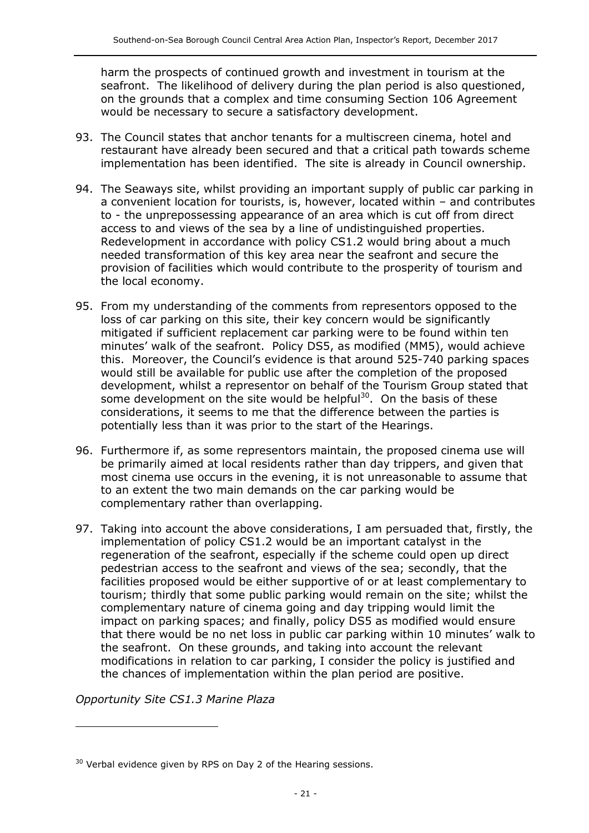harm the prospects of continued growth and investment in tourism at the seafront. The likelihood of delivery during the plan period is also questioned, on the grounds that a complex and time consuming Section 106 Agreement would be necessary to secure a satisfactory development.

- 93. The Council states that anchor tenants for a multiscreen cinema, hotel and restaurant have already been secured and that a critical path towards scheme implementation has been identified. The site is already in Council ownership.
- 94. The Seaways site, whilst providing an important supply of public car parking in a convenient location for tourists, is, however, located within – and contributes to - the unprepossessing appearance of an area which is cut off from direct access to and views of the sea by a line of undistinguished properties. Redevelopment in accordance with policy CS1.2 would bring about a much needed transformation of this key area near the seafront and secure the provision of facilities which would contribute to the prosperity of tourism and the local economy.
- 95. From my understanding of the comments from representors opposed to the loss of car parking on this site, their key concern would be significantly mitigated if sufficient replacement car parking were to be found within ten minutes' walk of the seafront. Policy DS5, as modified (MM5), would achieve this. Moreover, the Council's evidence is that around 525-740 parking spaces would still be available for public use after the completion of the proposed development, whilst a representor on behalf of the Tourism Group stated that some development on the site would be helpful $^{30}$ . On the basis of these considerations, it seems to me that the difference between the parties is potentially less than it was prior to the start of the Hearings.
- 96. Furthermore if, as some representors maintain, the proposed cinema use will be primarily aimed at local residents rather than day trippers, and given that most cinema use occurs in the evening, it is not unreasonable to assume that to an extent the two main demands on the car parking would be complementary rather than overlapping.
- 97. Taking into account the above considerations, I am persuaded that, firstly, the implementation of policy CS1.2 would be an important catalyst in the regeneration of the seafront, especially if the scheme could open up direct pedestrian access to the seafront and views of the sea; secondly, that the facilities proposed would be either supportive of or at least complementary to tourism; thirdly that some public parking would remain on the site; whilst the complementary nature of cinema going and day tripping would limit the impact on parking spaces; and finally, policy DS5 as modified would ensure that there would be no net loss in public car parking within 10 minutes' walk to the seafront. On these grounds, and taking into account the relevant modifications in relation to car parking, I consider the policy is justified and the chances of implementation within the plan period are positive.

*Opportunity Site CS1.3 Marine Plaza*

 $30$  Verbal evidence given by RPS on Day 2 of the Hearing sessions.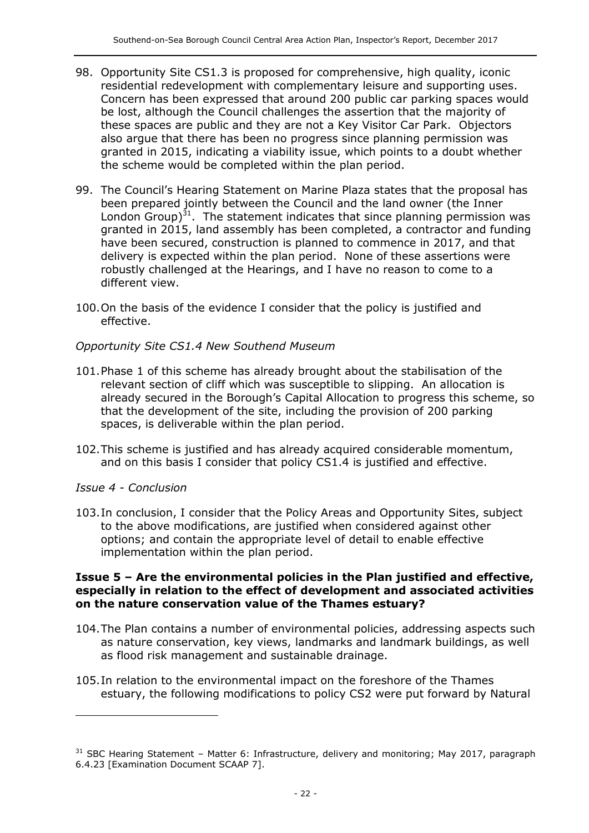- 98. Opportunity Site CS1.3 is proposed for comprehensive, high quality, iconic residential redevelopment with complementary leisure and supporting uses. Concern has been expressed that around 200 public car parking spaces would be lost, although the Council challenges the assertion that the majority of these spaces are public and they are not a Key Visitor Car Park. Objectors also argue that there has been no progress since planning permission was granted in 2015, indicating a viability issue, which points to a doubt whether the scheme would be completed within the plan period.
- 99. The Council's Hearing Statement on Marine Plaza states that the proposal has been prepared jointly between the Council and the land owner (the Inner London Group) $31$ . The statement indicates that since planning permission was granted in 2015, land assembly has been completed, a contractor and funding have been secured, construction is planned to commence in 2017, and that delivery is expected within the plan period. None of these assertions were robustly challenged at the Hearings, and I have no reason to come to a different view.
- 100.On the basis of the evidence I consider that the policy is justified and effective.

#### *Opportunity Site CS1.4 New Southend Museum*

- 101.Phase 1 of this scheme has already brought about the stabilisation of the relevant section of cliff which was susceptible to slipping. An allocation is already secured in the Borough's Capital Allocation to progress this scheme, so that the development of the site, including the provision of 200 parking spaces, is deliverable within the plan period.
- 102.This scheme is justified and has already acquired considerable momentum, and on this basis I consider that policy CS1.4 is justified and effective.

#### *Issue 4 - Conclusion*

 $\overline{a}$ 

103.In conclusion, I consider that the Policy Areas and Opportunity Sites, subject to the above modifications, are justified when considered against other options; and contain the appropriate level of detail to enable effective implementation within the plan period.

#### **Issue 5 – Are the environmental policies in the Plan justified and effective, especially in relation to the effect of development and associated activities on the nature conservation value of the Thames estuary?**

- 104.The Plan contains a number of environmental policies, addressing aspects such as nature conservation, key views, landmarks and landmark buildings, as well as flood risk management and sustainable drainage.
- 105.In relation to the environmental impact on the foreshore of the Thames estuary, the following modifications to policy CS2 were put forward by Natural

 $31$  SBC Hearing Statement – Matter 6: Infrastructure, delivery and monitoring; May 2017, paragraph 6.4.23 [Examination Document SCAAP 7].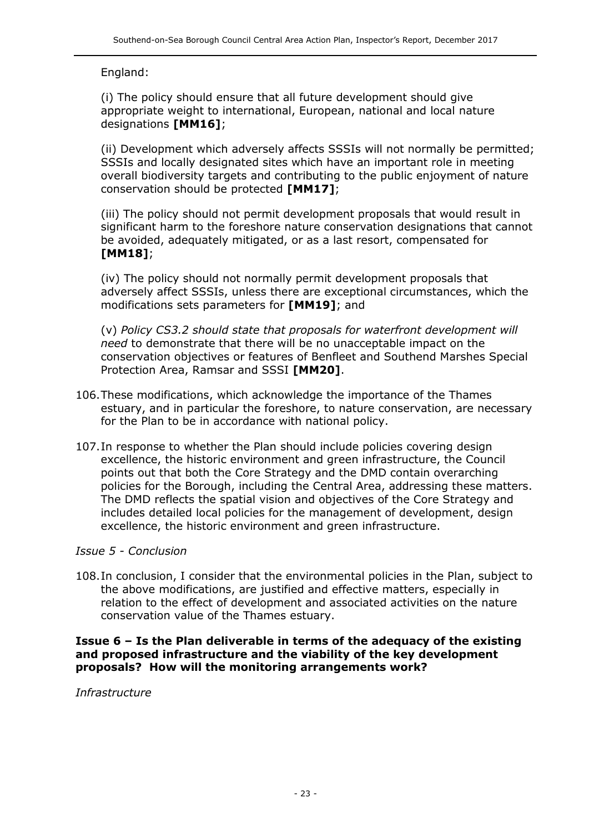# England:

(i) The policy should ensure that all future development should give appropriate weight to international, European, national and local nature designations **[MM16]**;

(ii) Development which adversely affects SSSIs will not normally be permitted; SSSIs and locally designated sites which have an important role in meeting overall biodiversity targets and contributing to the public enjoyment of nature conservation should be protected **[MM17]**;

(iii) The policy should not permit development proposals that would result in significant harm to the foreshore nature conservation designations that cannot be avoided, adequately mitigated, or as a last resort, compensated for **[MM18]**;

(iv) The policy should not normally permit development proposals that adversely affect SSSIs, unless there are exceptional circumstances, which the modifications sets parameters for **[MM19]**; and

(v) *Policy CS3.2 should state that proposals for waterfront development will need* to demonstrate that there will be no unacceptable impact on the conservation objectives or features of Benfleet and Southend Marshes Special Protection Area, Ramsar and SSSI **[MM20]**.

- 106.These modifications, which acknowledge the importance of the Thames estuary, and in particular the foreshore, to nature conservation, are necessary for the Plan to be in accordance with national policy.
- 107.In response to whether the Plan should include policies covering design excellence, the historic environment and green infrastructure, the Council points out that both the Core Strategy and the DMD contain overarching policies for the Borough, including the Central Area, addressing these matters. The DMD reflects the spatial vision and objectives of the Core Strategy and includes detailed local policies for the management of development, design excellence, the historic environment and green infrastructure.

#### *Issue 5 - Conclusion*

108.In conclusion, I consider that the environmental policies in the Plan, subject to the above modifications, are justified and effective matters, especially in relation to the effect of development and associated activities on the nature conservation value of the Thames estuary.

#### **Issue 6 – Is the Plan deliverable in terms of the adequacy of the existing and proposed infrastructure and the viability of the key development proposals? How will the monitoring arrangements work?**

*Infrastructure*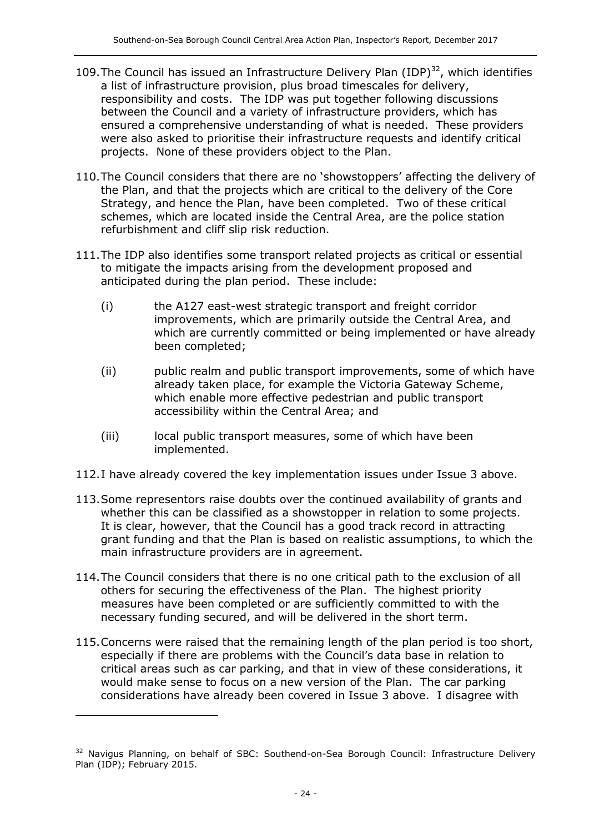- 109. The Council has issued an Infrastructure Delivery Plan  $(IDP)^{32}$ , which identifies a list of infrastructure provision, plus broad timescales for delivery, responsibility and costs. The IDP was put together following discussions between the Council and a variety of infrastructure providers, which has ensured a comprehensive understanding of what is needed. These providers were also asked to prioritise their infrastructure requests and identify critical projects. None of these providers object to the Plan.
- 110.The Council considers that there are no 'showstoppers' affecting the delivery of the Plan, and that the projects which are critical to the delivery of the Core Strategy, and hence the Plan, have been completed. Two of these critical schemes, which are located inside the Central Area, are the police station refurbishment and cliff slip risk reduction.
- 111.The IDP also identifies some transport related projects as critical or essential to mitigate the impacts arising from the development proposed and anticipated during the plan period. These include:
	- (i) the A127 east-west strategic transport and freight corridor improvements, which are primarily outside the Central Area, and which are currently committed or being implemented or have already been completed;
	- (ii) public realm and public transport improvements, some of which have already taken place, for example the Victoria Gateway Scheme, which enable more effective pedestrian and public transport accessibility within the Central Area; and
	- (iii) local public transport measures, some of which have been implemented.
- 112.I have already covered the key implementation issues under Issue 3 above.
- 113.Some representors raise doubts over the continued availability of grants and whether this can be classified as a showstopper in relation to some projects. It is clear, however, that the Council has a good track record in attracting grant funding and that the Plan is based on realistic assumptions, to which the main infrastructure providers are in agreement.
- 114.The Council considers that there is no one critical path to the exclusion of all others for securing the effectiveness of the Plan. The highest priority measures have been completed or are sufficiently committed to with the necessary funding secured, and will be delivered in the short term.
- 115.Concerns were raised that the remaining length of the plan period is too short, especially if there are problems with the Council's data base in relation to critical areas such as car parking, and that in view of these considerations, it would make sense to focus on a new version of the Plan. The car parking considerations have already been covered in Issue 3 above. I disagree with

<sup>&</sup>lt;sup>32</sup> Navigus Planning, on behalf of SBC: Southend-on-Sea Borough Council: Infrastructure Delivery Plan (IDP); February 2015.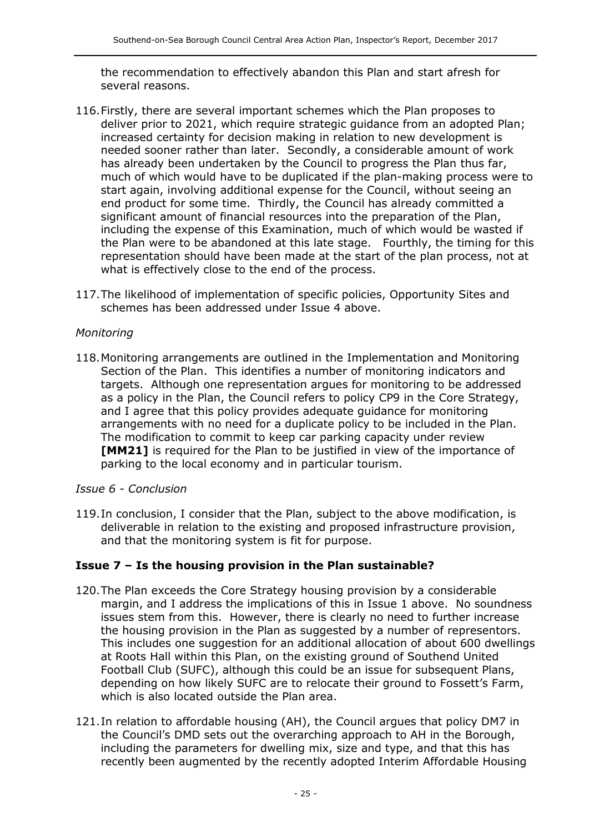the recommendation to effectively abandon this Plan and start afresh for several reasons.

- 116.Firstly, there are several important schemes which the Plan proposes to deliver prior to 2021, which require strategic guidance from an adopted Plan; increased certainty for decision making in relation to new development is needed sooner rather than later. Secondly, a considerable amount of work has already been undertaken by the Council to progress the Plan thus far, much of which would have to be duplicated if the plan-making process were to start again, involving additional expense for the Council, without seeing an end product for some time. Thirdly, the Council has already committed a significant amount of financial resources into the preparation of the Plan, including the expense of this Examination, much of which would be wasted if the Plan were to be abandoned at this late stage. Fourthly, the timing for this representation should have been made at the start of the plan process, not at what is effectively close to the end of the process.
- 117.The likelihood of implementation of specific policies, Opportunity Sites and schemes has been addressed under Issue 4 above.

#### *Monitoring*

118.Monitoring arrangements are outlined in the Implementation and Monitoring Section of the Plan. This identifies a number of monitoring indicators and targets. Although one representation argues for monitoring to be addressed as a policy in the Plan, the Council refers to policy CP9 in the Core Strategy, and I agree that this policy provides adequate guidance for monitoring arrangements with no need for a duplicate policy to be included in the Plan. The modification to commit to keep car parking capacity under review **[MM21]** is required for the Plan to be justified in view of the importance of parking to the local economy and in particular tourism.

#### *Issue 6 - Conclusion*

119.In conclusion, I consider that the Plan, subject to the above modification, is deliverable in relation to the existing and proposed infrastructure provision, and that the monitoring system is fit for purpose.

# **Issue 7 – Is the housing provision in the Plan sustainable?**

- 120.The Plan exceeds the Core Strategy housing provision by a considerable margin, and I address the implications of this in Issue 1 above. No soundness issues stem from this. However, there is clearly no need to further increase the housing provision in the Plan as suggested by a number of representors. This includes one suggestion for an additional allocation of about 600 dwellings at Roots Hall within this Plan, on the existing ground of Southend United Football Club (SUFC), although this could be an issue for subsequent Plans, depending on how likely SUFC are to relocate their ground to Fossett's Farm, which is also located outside the Plan area.
- 121.In relation to affordable housing (AH), the Council argues that policy DM7 in the Council's DMD sets out the overarching approach to AH in the Borough, including the parameters for dwelling mix, size and type, and that this has recently been augmented by the recently adopted Interim Affordable Housing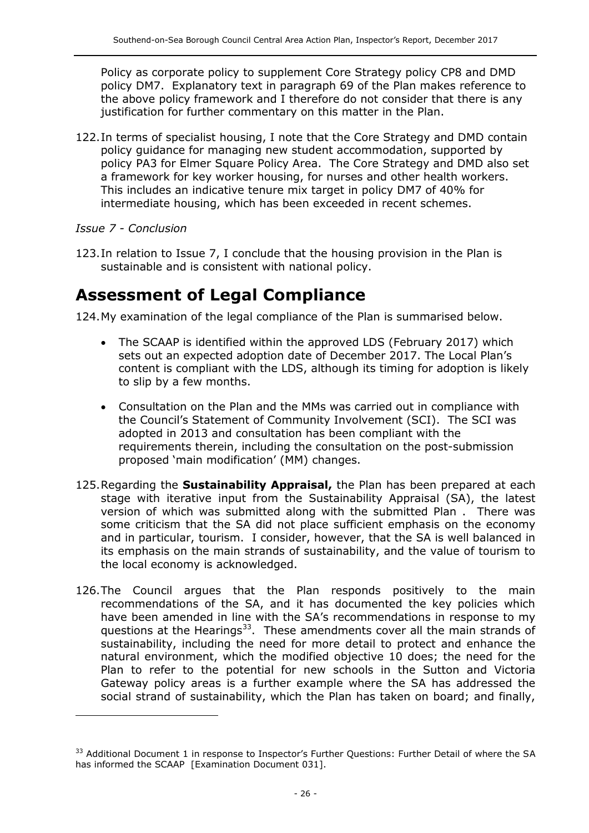Policy as corporate policy to supplement Core Strategy policy CP8 and DMD policy DM7. Explanatory text in paragraph 69 of the Plan makes reference to the above policy framework and I therefore do not consider that there is any justification for further commentary on this matter in the Plan.

122.In terms of specialist housing, I note that the Core Strategy and DMD contain policy guidance for managing new student accommodation, supported by policy PA3 for Elmer Square Policy Area. The Core Strategy and DMD also set a framework for key worker housing, for nurses and other health workers. This includes an indicative tenure mix target in policy DM7 of 40% for intermediate housing, which has been exceeded in recent schemes.

# *Issue 7 - Conclusion*

 $\overline{a}$ 

123.In relation to Issue 7, I conclude that the housing provision in the Plan is sustainable and is consistent with national policy.

# **Assessment of Legal Compliance**

124.My examination of the legal compliance of the Plan is summarised below.

- The SCAAP is identified within the approved LDS (February 2017) which sets out an expected adoption date of December 2017. The Local Plan's content is compliant with the LDS, although its timing for adoption is likely to slip by a few months.
- Consultation on the Plan and the MMs was carried out in compliance with the Council's Statement of Community Involvement (SCI). The SCI was adopted in 2013 and consultation has been compliant with the requirements therein, including the consultation on the post-submission proposed 'main modification' (MM) changes.
- 125.Regarding the **Sustainability Appraisal,** the Plan has been prepared at each stage with iterative input from the Sustainability Appraisal (SA), the latest version of which was submitted along with the submitted Plan . There was some criticism that the SA did not place sufficient emphasis on the economy and in particular, tourism. I consider, however, that the SA is well balanced in its emphasis on the main strands of sustainability, and the value of tourism to the local economy is acknowledged.
- 126.The Council argues that the Plan responds positively to the main recommendations of the SA, and it has documented the key policies which have been amended in line with the SA's recommendations in response to my questions at the Hearings<sup>33</sup>. These amendments cover all the main strands of sustainability, including the need for more detail to protect and enhance the natural environment, which the modified objective 10 does; the need for the Plan to refer to the potential for new schools in the Sutton and Victoria Gateway policy areas is a further example where the SA has addressed the social strand of sustainability, which the Plan has taken on board; and finally,

<sup>&</sup>lt;sup>33</sup> Additional Document 1 in response to Inspector's Further Questions: Further Detail of where the SA has informed the SCAAP [Examination Document 031].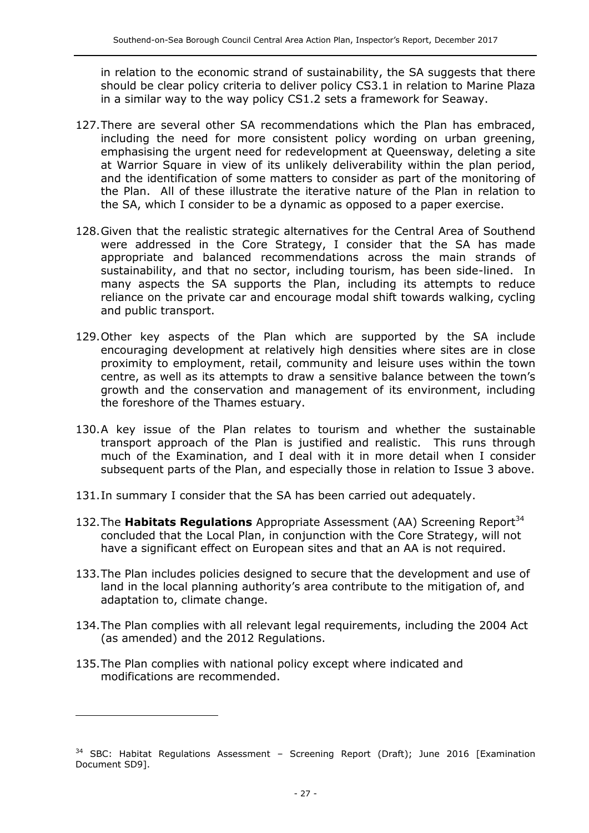in relation to the economic strand of sustainability, the SA suggests that there should be clear policy criteria to deliver policy CS3.1 in relation to Marine Plaza in a similar way to the way policy CS1.2 sets a framework for Seaway.

- 127.There are several other SA recommendations which the Plan has embraced, including the need for more consistent policy wording on urban greening, emphasising the urgent need for redevelopment at Queensway, deleting a site at Warrior Square in view of its unlikely deliverability within the plan period, and the identification of some matters to consider as part of the monitoring of the Plan. All of these illustrate the iterative nature of the Plan in relation to the SA, which I consider to be a dynamic as opposed to a paper exercise.
- 128.Given that the realistic strategic alternatives for the Central Area of Southend were addressed in the Core Strategy, I consider that the SA has made appropriate and balanced recommendations across the main strands of sustainability, and that no sector, including tourism, has been side-lined. In many aspects the SA supports the Plan, including its attempts to reduce reliance on the private car and encourage modal shift towards walking, cycling and public transport.
- 129.Other key aspects of the Plan which are supported by the SA include encouraging development at relatively high densities where sites are in close proximity to employment, retail, community and leisure uses within the town centre, as well as its attempts to draw a sensitive balance between the town's growth and the conservation and management of its environment, including the foreshore of the Thames estuary.
- 130.A key issue of the Plan relates to tourism and whether the sustainable transport approach of the Plan is justified and realistic. This runs through much of the Examination, and I deal with it in more detail when I consider subsequent parts of the Plan, and especially those in relation to Issue 3 above.
- 131.In summary I consider that the SA has been carried out adequately.
- 132. The **Habitats Regulations** Appropriate Assessment (AA) Screening Report<sup>34</sup> concluded that the Local Plan, in conjunction with the Core Strategy, will not have a significant effect on European sites and that an AA is not required.
- 133.The Plan includes policies designed to secure that the development and use of land in the local planning authority's area contribute to the mitigation of, and adaptation to, climate change.
- 134.The Plan complies with all relevant legal requirements, including the 2004 Act (as amended) and the 2012 Regulations.
- 135.The Plan complies with national policy except where indicated and modifications are recommended.

 $34$  SBC: Habitat Regulations Assessment - Screening Report (Draft); June 2016 [Examination Document SD9].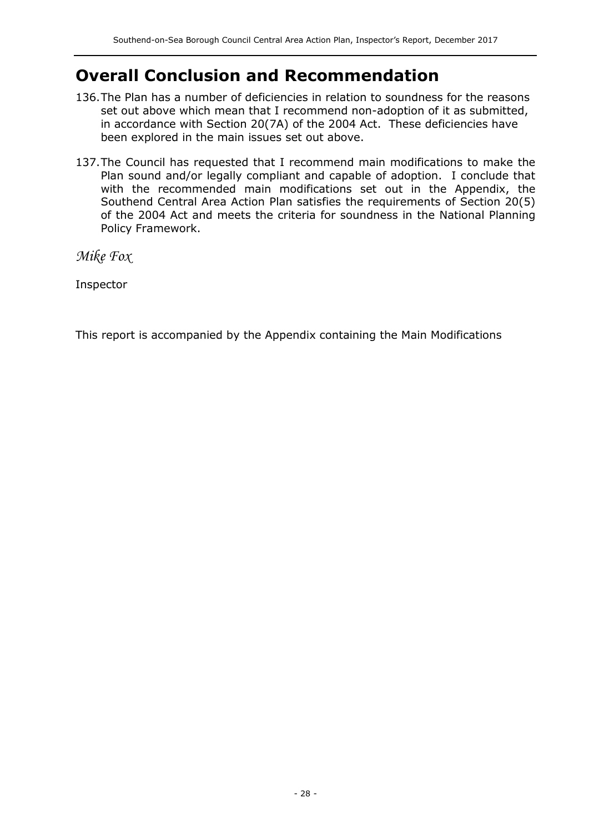# **Overall Conclusion and Recommendation**

- 136.The Plan has a number of deficiencies in relation to soundness for the reasons set out above which mean that I recommend non-adoption of it as submitted, in accordance with Section 20(7A) of the 2004 Act. These deficiencies have been explored in the main issues set out above.
- 137.The Council has requested that I recommend main modifications to make the Plan sound and/or legally compliant and capable of adoption. I conclude that with the recommended main modifications set out in the Appendix, the Southend Central Area Action Plan satisfies the requirements of Section 20(5) of the 2004 Act and meets the criteria for soundness in the National Planning Policy Framework.

*Mike Fox*

Inspector

This report is accompanied by the Appendix containing the Main Modifications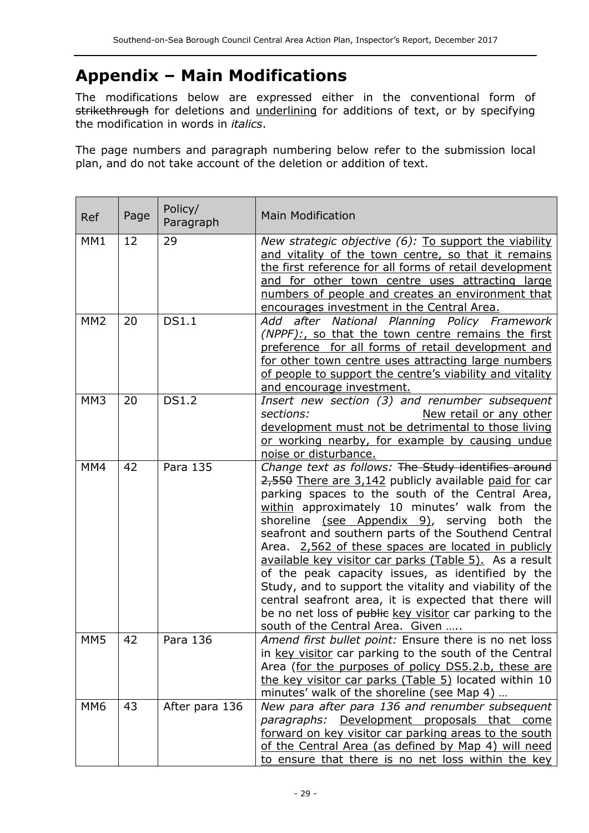# **Appendix – Main Modifications**

The modifications below are expressed either in the conventional form of strikethrough for deletions and underlining for additions of text, or by specifying the modification in words in *italics*.

The page numbers and paragraph numbering below refer to the submission local plan, and do not take account of the deletion or addition of text.

| Ref             | Page | Policy/<br>Paragraph | <b>Main Modification</b>                                                                                                                                                                                                                                                                                                                                                                                                                                                                                                                                                                                                                                                                                              |  |
|-----------------|------|----------------------|-----------------------------------------------------------------------------------------------------------------------------------------------------------------------------------------------------------------------------------------------------------------------------------------------------------------------------------------------------------------------------------------------------------------------------------------------------------------------------------------------------------------------------------------------------------------------------------------------------------------------------------------------------------------------------------------------------------------------|--|
| MM1             | 12   | 29                   | New strategic objective (6): To support the viability<br>and vitality of the town centre, so that it remains<br>the first reference for all forms of retail development<br>and for other town centre uses attracting large<br>numbers of people and creates an environment that<br>encourages investment in the Central Area.                                                                                                                                                                                                                                                                                                                                                                                         |  |
| MM <sub>2</sub> | 20   | <b>DS1.1</b>         | Add after National Planning Policy Framework<br>(NPPF):, so that the town centre remains the first<br>preference for all forms of retail development and<br>for other town centre uses attracting large numbers<br>of people to support the centre's viability and vitality<br>and encourage investment.                                                                                                                                                                                                                                                                                                                                                                                                              |  |
| MM <sub>3</sub> | 20   | <b>DS1.2</b>         | Insert new section (3) and renumber subsequent<br>sections:<br>New retail or any other<br>development must not be detrimental to those living<br>or working nearby, for example by causing undue<br>noise or disturbance.                                                                                                                                                                                                                                                                                                                                                                                                                                                                                             |  |
| MM4             | 42   | Para 135             | Change text as follows: The Study identifies around<br>2,550 There are 3,142 publicly available paid for car<br>parking spaces to the south of the Central Area,<br>within approximately 10 minutes' walk from the<br>shoreline (see Appendix 9), serving both<br>the<br>seafront and southern parts of the Southend Central<br>Area. 2,562 of these spaces are located in publicly<br>available key visitor car parks (Table 5). As a result<br>of the peak capacity issues, as identified by the<br>Study, and to support the vitality and viability of the<br>central seafront area, it is expected that there will<br>be no net loss of public key visitor car parking to the<br>south of the Central Area. Given |  |
| MM <sub>5</sub> | 42   | Para 136             | Amend first bullet point: Ensure there is no net loss<br>in key visitor car parking to the south of the Central<br>Area (for the purposes of policy DS5.2.b, these are<br>the key visitor car parks (Table 5) located within 10<br>minutes' walk of the shoreline (see Map 4)                                                                                                                                                                                                                                                                                                                                                                                                                                         |  |
| MM <sub>6</sub> | 43   | After para 136       | New para after para 136 and renumber subsequent<br>paragraphs: Development proposals that come<br>forward on key visitor car parking areas to the south<br>of the Central Area (as defined by Map 4) will need<br>to ensure that there is no net loss within the key                                                                                                                                                                                                                                                                                                                                                                                                                                                  |  |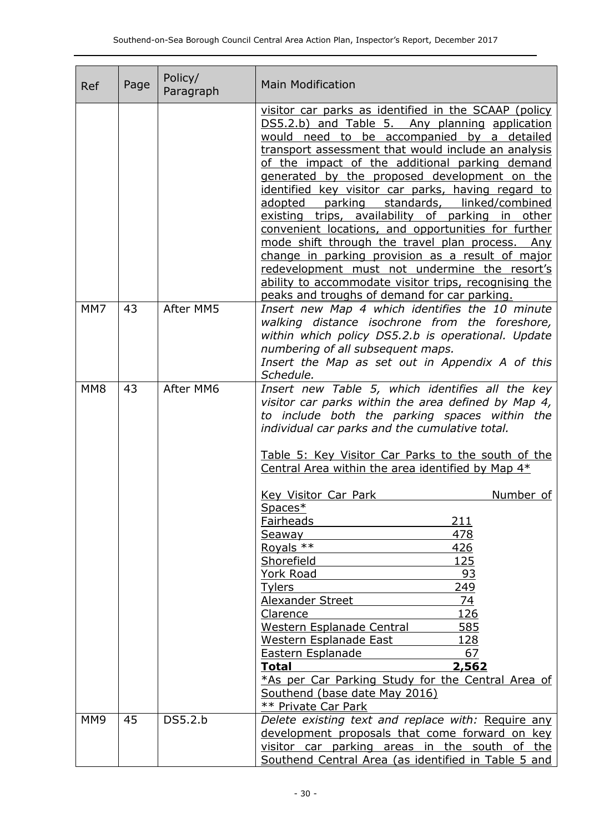| <b>Ref</b>      | Page | Policy/<br>Paragraph | <b>Main Modification</b>                                                                                                                                                                                                                                                                                                                                                                                                                                                                                                                                                                                                                                                                                                                                                                                              |  |
|-----------------|------|----------------------|-----------------------------------------------------------------------------------------------------------------------------------------------------------------------------------------------------------------------------------------------------------------------------------------------------------------------------------------------------------------------------------------------------------------------------------------------------------------------------------------------------------------------------------------------------------------------------------------------------------------------------------------------------------------------------------------------------------------------------------------------------------------------------------------------------------------------|--|
|                 |      |                      | visitor car parks as identified in the SCAAP (policy<br>DS5.2.b) and Table 5. Any planning application<br>would need to be accompanied by a detailed<br>transport assessment that would include an analysis<br>of the impact of the additional parking demand<br>generated by the proposed development on the<br>identified key visitor car parks, having regard to<br>parking standards, linked/combined<br>adopted<br>existing trips, availability of parking in other<br>convenient locations, and opportunities for further<br>mode shift through the travel plan process.<br>Any<br>change in parking provision as a result of major<br>redevelopment must not undermine the resort's<br>ability to accommodate visitor trips, recognising the<br>peaks and troughs of demand for car parking.                   |  |
| MM7             | 43   | After MM5            | Insert new Map 4 which identifies the 10 minute<br>walking distance isochrone from the foreshore,<br>within which policy DS5.2.b is operational. Update<br>numbering of all subsequent maps.<br>Insert the Map as set out in Appendix A of this<br>Schedule.                                                                                                                                                                                                                                                                                                                                                                                                                                                                                                                                                          |  |
| MM <sub>8</sub> | 43   | After MM6            | Insert new Table 5, which identifies all the key<br>visitor car parks within the area defined by Map 4,<br>to include both the parking spaces within the<br>individual car parks and the cumulative total.<br>Table 5: Key Visitor Car Parks to the south of the<br>Central Area within the area identified by Map 4*<br><b>Key Visitor Car Park</b><br>Number of<br>Spaces*<br>211<br><u>Fairheads</u><br>478<br><b>Seaway</b><br>Royals **<br>426<br>125<br>Shorefield<br>York Road<br>93<br>249<br><b>Tylers</b><br>74<br>Alexander Street<br>126<br>Clarence<br>585<br>Western Esplanade Central<br><u> 128</u><br>Western Esplanade East<br>67<br>Eastern Esplanade<br><b>Total</b><br><u>2,562</u><br>*As per Car Parking Study for the Central Area of<br>Southend (base date May 2016)<br>** Private Car Park |  |
| MM <sub>9</sub> | 45   | DS5.2.b              | Delete existing text and replace with: Require any<br>development proposals that come forward on key<br>visitor car parking areas in the south of the<br>Southend Central Area (as identified in Table 5 and                                                                                                                                                                                                                                                                                                                                                                                                                                                                                                                                                                                                          |  |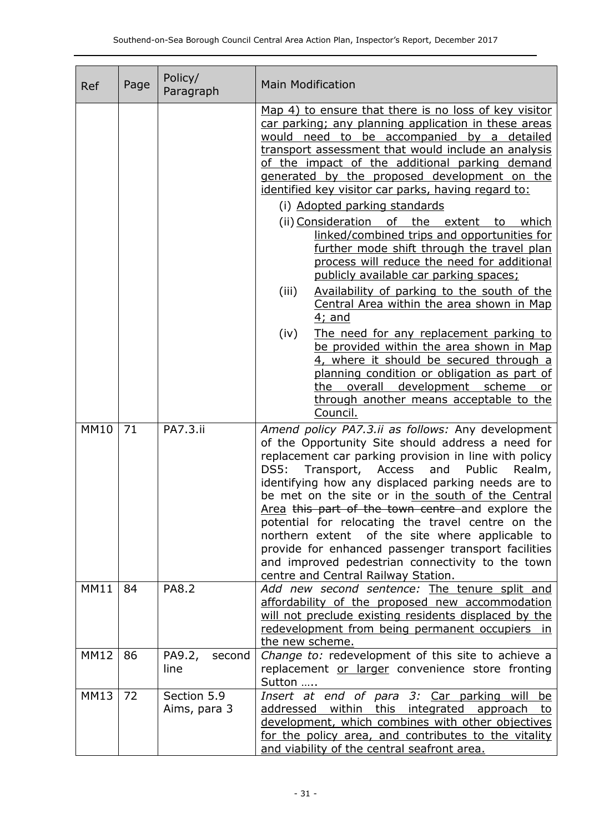| Ref         | Page | Policy/<br>Paragraph        | <b>Main Modification</b>                                                                                                                                                                                                                                                                                                                                                                                                                                                                                                                                                                                                                                                                                                                                                                                                                                                                                                                                   |  |  |
|-------------|------|-----------------------------|------------------------------------------------------------------------------------------------------------------------------------------------------------------------------------------------------------------------------------------------------------------------------------------------------------------------------------------------------------------------------------------------------------------------------------------------------------------------------------------------------------------------------------------------------------------------------------------------------------------------------------------------------------------------------------------------------------------------------------------------------------------------------------------------------------------------------------------------------------------------------------------------------------------------------------------------------------|--|--|
|             |      |                             | Map 4) to ensure that there is no loss of key visitor<br>car parking; any planning application in these areas<br>would need to be accompanied by a detailed<br>transport assessment that would include an analysis<br>of the impact of the additional parking demand<br>generated by the proposed development on the<br>identified key visitor car parks, having regard to:<br>(i) Adopted parking standards<br>(ii) Consideration<br>of the extent to which<br>linked/combined trips and opportunities for<br>further mode shift through the travel plan<br>process will reduce the need for additional<br>publicly available car parking spaces;<br>Availability of parking to the south of the<br>(iii)<br>Central Area within the area shown in Map<br>4; and<br>(iv)<br>The need for any replacement parking to<br>be provided within the area shown in Map<br>4, where it should be secured through a<br>planning condition or obligation as part of |  |  |
|             |      |                             | the overall development scheme<br>or o<br>through another means acceptable to the<br>Council.                                                                                                                                                                                                                                                                                                                                                                                                                                                                                                                                                                                                                                                                                                                                                                                                                                                              |  |  |
| <b>MM10</b> | 71   | PA7.3.ii                    | Amend policy PA7.3.ii as follows: Any development<br>of the Opportunity Site should address a need for<br>replacement car parking provision in line with policy<br>DS5:<br>Transport,<br>Access<br>and<br>Public<br>Realm,<br>identifying how any displaced parking needs are to<br>be met on the site or in the south of the Central<br>Area this part of the town centre and explore the<br>potential for relocating the travel centre on the<br>of the site where applicable to<br>northern extent<br>provide for enhanced passenger transport facilities<br>and improved pedestrian connectivity to the town<br>centre and Central Railway Station.                                                                                                                                                                                                                                                                                                    |  |  |
| <b>MM11</b> | 84   | PA8.2                       | Add new second sentence: The tenure split and<br>affordability of the proposed new accommodation<br>will not preclude existing residents displaced by the<br>redevelopment from being permanent occupiers<br><i>in</i><br>the new scheme.                                                                                                                                                                                                                                                                                                                                                                                                                                                                                                                                                                                                                                                                                                                  |  |  |
| <b>MM12</b> | 86   | PA9.2,<br>second<br>line    | Change to: redevelopment of this site to achieve a<br>replacement or larger convenience store fronting<br>Sutton                                                                                                                                                                                                                                                                                                                                                                                                                                                                                                                                                                                                                                                                                                                                                                                                                                           |  |  |
| <b>MM13</b> | 72   | Section 5.9<br>Aims, para 3 | Insert at end of para 3: Car parking will<br>be<br>addressed within this integrated approach to<br>development, which combines with other objectives<br>for the policy area, and contributes to the vitality<br>and viability of the central seafront area.                                                                                                                                                                                                                                                                                                                                                                                                                                                                                                                                                                                                                                                                                                |  |  |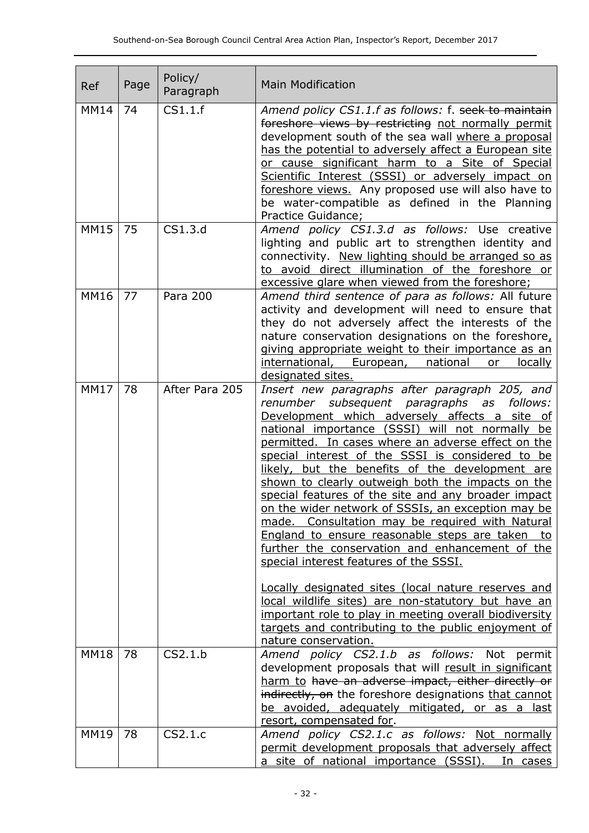| Ref         | Page | Policy/<br>Paragraph | <b>Main Modification</b>                                                                                                                                                                                                                                                                                                                                                                                                                                                                                                                                                                                                                                                                                                                                                                                                                                                                                                                                                                     |  |
|-------------|------|----------------------|----------------------------------------------------------------------------------------------------------------------------------------------------------------------------------------------------------------------------------------------------------------------------------------------------------------------------------------------------------------------------------------------------------------------------------------------------------------------------------------------------------------------------------------------------------------------------------------------------------------------------------------------------------------------------------------------------------------------------------------------------------------------------------------------------------------------------------------------------------------------------------------------------------------------------------------------------------------------------------------------|--|
| <b>MM14</b> | 74   | CS1.1.f              | Amend policy CS1.1.f as follows: f. seek to maintain<br>foreshore views by restricting not normally permit<br>development south of the sea wall where a proposal<br>has the potential to adversely affect a European site<br>or cause significant harm to a Site of Special<br>Scientific Interest (SSSI) or adversely impact on<br>foreshore views. Any proposed use will also have to<br>be water-compatible as defined in the Planning<br>Practice Guidance;                                                                                                                                                                                                                                                                                                                                                                                                                                                                                                                              |  |
| <b>MM15</b> | 75   | CS1.3.d              | Amend policy CS1.3.d as follows: Use creative<br>lighting and public art to strengthen identity and<br>connectivity. New lighting should be arranged so as<br>to avoid direct illumination of the foreshore or<br>excessive glare when viewed from the foreshore;                                                                                                                                                                                                                                                                                                                                                                                                                                                                                                                                                                                                                                                                                                                            |  |
| <b>MM16</b> | 77   | Para 200             | Amend third sentence of para as follows: All future<br>activity and development will need to ensure that<br>they do not adversely affect the interests of the<br>nature conservation designations on the foreshore,<br>giving appropriate weight to their importance as an<br>national<br>locally<br>international, European,<br>or<br>designated sites.                                                                                                                                                                                                                                                                                                                                                                                                                                                                                                                                                                                                                                     |  |
| <b>MM17</b> | 78   | After Para 205       | Insert new paragraphs after paragraph 205, and<br>renumber subsequent paragraphs as<br>follows:<br>Development which adversely affects a site of<br>national importance (SSSI) will not normally be<br>permitted. In cases where an adverse effect on the<br>special interest of the SSSI is considered to be<br>likely, but the benefits of the development are<br>shown to clearly outweigh both the impacts on the<br>special features of the site and any broader impact<br>on the wider network of SSSIs, an exception may be<br>made. Consultation may be required with Natural<br>England to ensure reasonable steps are taken to<br>further the conservation and enhancement of the<br>special interest features of the SSSI.<br>Locally designated sites (local nature reserves and<br>local wildlife sites) are non-statutory but have an<br>important role to play in meeting overall biodiversity<br>targets and contributing to the public enjoyment of<br>nature conservation. |  |
| <b>MM18</b> | 78   | CS2.1.b              | Amend policy CS2.1.b as follows: Not permit<br>development proposals that will result in significant<br>harm to have an adverse impact, either directly or<br>indirectly, on the foreshore designations that cannot<br>be avoided, adequately mitigated, or as a last<br>resort, compensated for.                                                                                                                                                                                                                                                                                                                                                                                                                                                                                                                                                                                                                                                                                            |  |
| <b>MM19</b> | 78   | CS2.1.c              | Amend policy CS2.1.c as follows: Not normally<br>permit development proposals that adversely affect<br>a site of national importance (SSSI).<br>In cases                                                                                                                                                                                                                                                                                                                                                                                                                                                                                                                                                                                                                                                                                                                                                                                                                                     |  |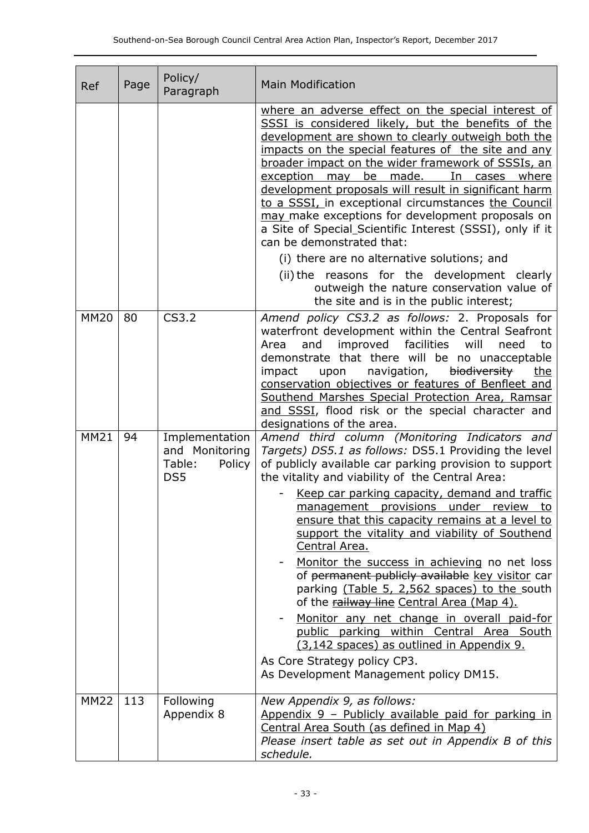| Ref         | Page | Policy/<br>Paragraph                                        | <b>Main Modification</b>                                                                                                                                                                                                                                                                                                                                                                                                                                                                                                                                                                                                                                                                                                                                                                                                                                |  |
|-------------|------|-------------------------------------------------------------|---------------------------------------------------------------------------------------------------------------------------------------------------------------------------------------------------------------------------------------------------------------------------------------------------------------------------------------------------------------------------------------------------------------------------------------------------------------------------------------------------------------------------------------------------------------------------------------------------------------------------------------------------------------------------------------------------------------------------------------------------------------------------------------------------------------------------------------------------------|--|
|             |      |                                                             | where an adverse effect on the special interest of<br>SSSI is considered likely, but the benefits of the<br>development are shown to clearly outweigh both the<br>impacts on the special features of the site and any<br>broader impact on the wider framework of SSSIs, an<br>exception may be made.<br>In cases where<br>development proposals will result in significant harm<br>to a SSSI, in exceptional circumstances the Council<br>may make exceptions for development proposals on<br>a Site of Special_Scientific Interest (SSSI), only if it<br>can be demonstrated that:<br>(i) there are no alternative solutions; and<br>(ii) the reasons for the development clearly<br>outweigh the nature conservation value of<br>the site and is in the public interest;                                                                             |  |
| <b>MM20</b> | 80   | CS3.2                                                       | Amend policy CS3.2 as follows: 2. Proposals for<br>waterfront development within the Central Seafront<br>facilities<br>and<br>improved<br>will<br>to<br>Area<br>need<br>demonstrate that there will be no unacceptable<br>navigation,<br>biodiversity<br>impact<br>upon<br><u>the</u><br>conservation objectives or features of Benfleet and<br>Southend Marshes Special Protection Area, Ramsar<br>and SSSI, flood risk or the special character and<br>designations of the area.                                                                                                                                                                                                                                                                                                                                                                      |  |
| <b>MM21</b> | 94   | Implementation<br>and Monitoring<br>Table:<br>Policy<br>DS5 | Amend third column (Monitoring Indicators and<br>Targets) DS5.1 as follows: DS5.1 Providing the level<br>of publicly available car parking provision to support<br>the vitality and viability of the Central Area:<br>Keep car parking capacity, demand and traffic<br>management provisions under review<br>to.<br>ensure that this capacity remains at a level to<br>support the vitality and viability of Southend<br>Central Area.<br>Monitor the success in achieving no net loss<br>of permanent publicly available key visitor car<br>parking (Table 5, 2,562 spaces) to the south<br>of the railway line Central Area (Map 4).<br>Monitor any net change in overall paid-for<br>public parking within Central Area South<br>(3,142 spaces) as outlined in Appendix 9.<br>As Core Strategy policy CP3.<br>As Development Management policy DM15. |  |
| <b>MM22</b> | 113  | Following<br>Appendix 8                                     | New Appendix 9, as follows:<br><u>Appendix 9 – Publicly available paid for parking in</u><br>Central Area South (as defined in Map 4)<br>Please insert table as set out in Appendix B of this<br>schedule.                                                                                                                                                                                                                                                                                                                                                                                                                                                                                                                                                                                                                                              |  |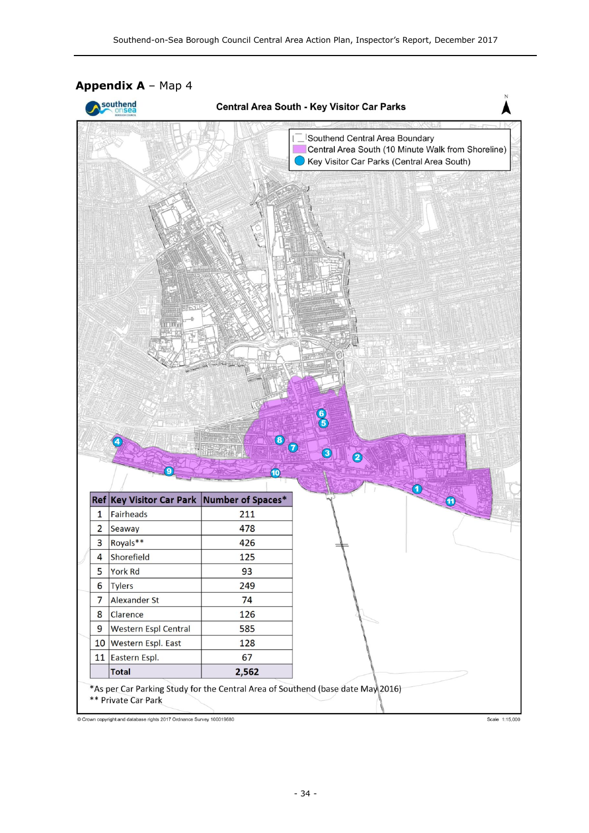

Crown copyright and database rights 2017 Ordnance Survey 100019680

Scale 1:15,000